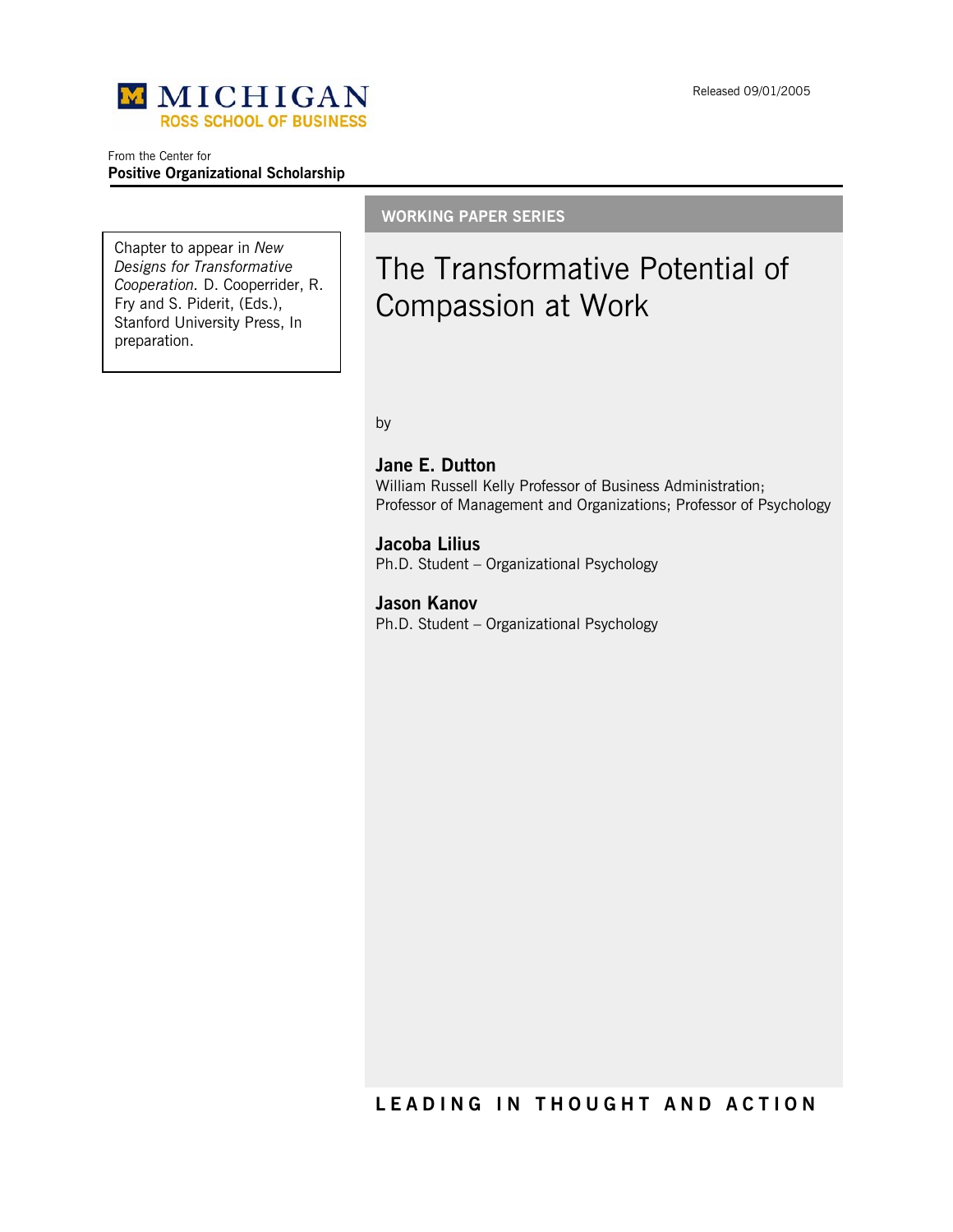

From the Center for **Positive Organizational Scholarship** 

Chapter to appear in *New Designs for Transformative Cooperation.* D. Cooperrider, R. Fry and S. Piderit, (Eds.), Stanford University Press, In preparation.

**WORKING PAPER SERIES** 

# The Transformative Potential of Compassion at Work

by

# **Jane E. Dutton**

William Russell Kelly Professor of Business Administration; Professor of Management and Organizations; Professor of Psychology

**Jacoba Lilius**  Ph.D. Student – Organizational Psychology

**Jason Kanov**  Ph.D. Student – Organizational Psychology

**LEADING IN THOUGHT AND ACTION**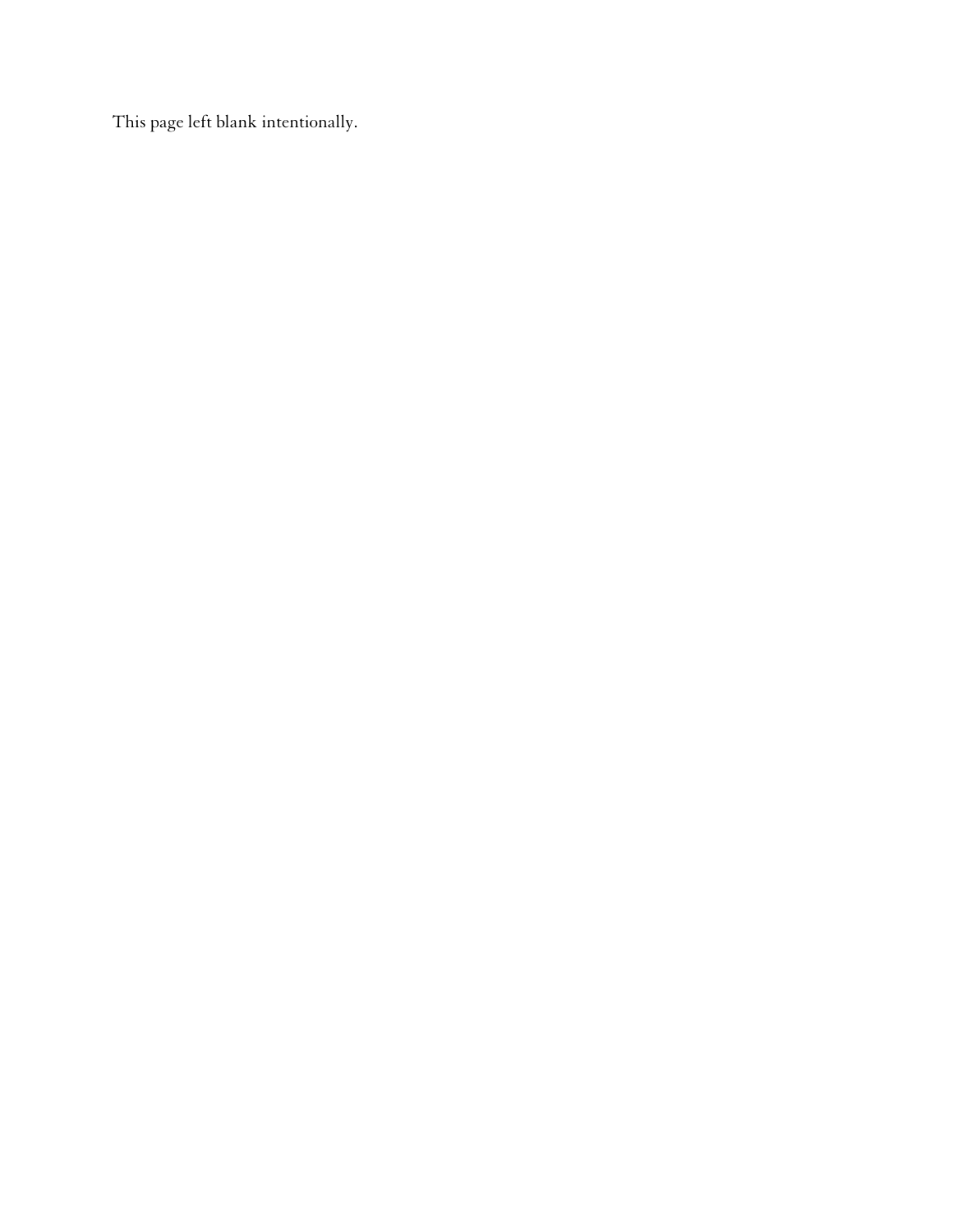This page left blank intentionally.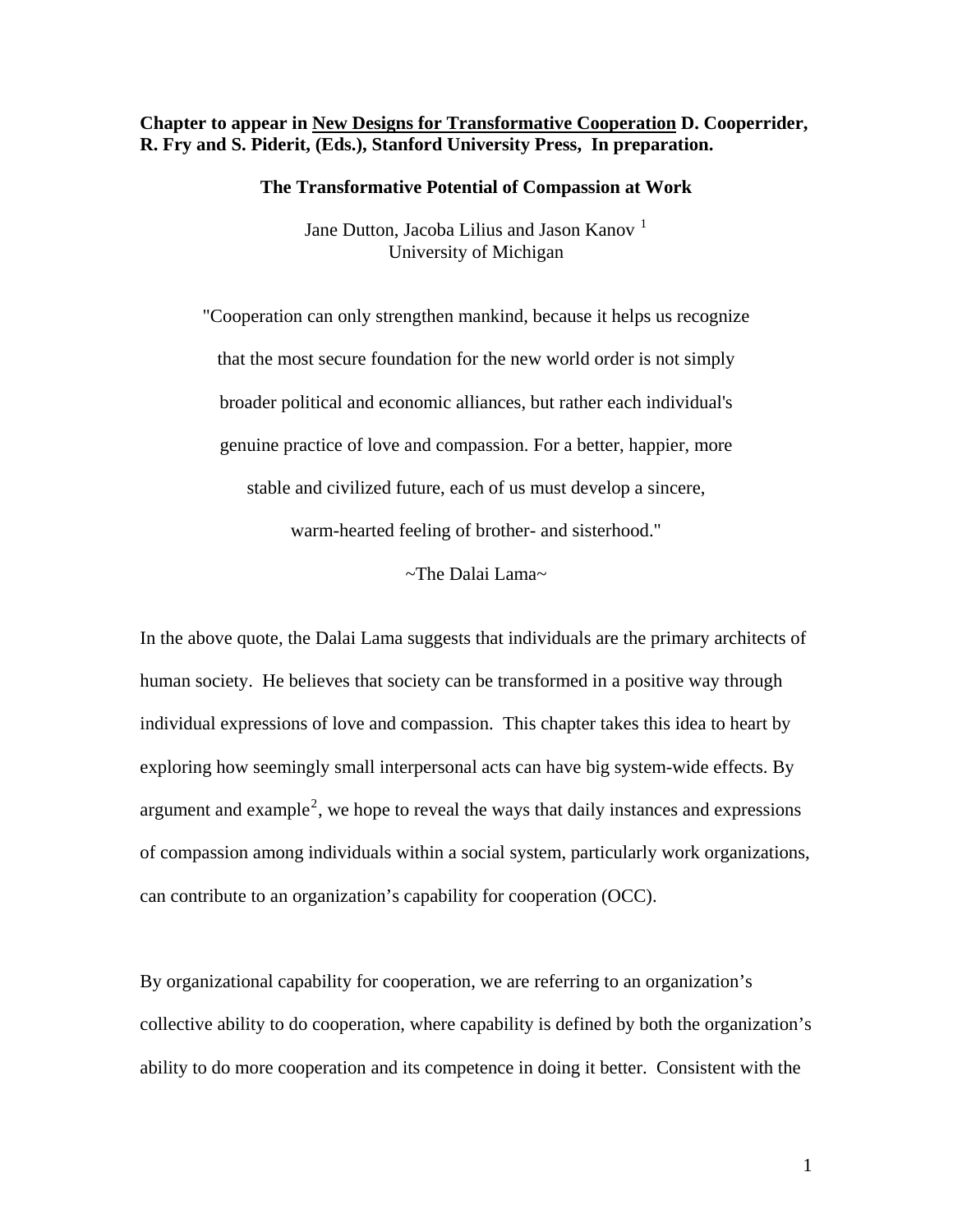# **Chapter to appear in New Designs for Transformative Cooperation D. Cooperrider, R. Fry and S. Piderit, (Eds.), Stanford University Press, In preparation.**

#### **The Transformative Potential of Compassion at Work**

Jane Dutton, Jacoba Lilius and Jason Kanov<sup>[1](#page-29-0)</sup> University of Michigan

"Cooperation can only strengthen mankind, because it helps us recognize that the most secure foundation for the new world order is not simply broader political and economic alliances, but rather each individual's genuine practice of love and compassion. For a better, happier, more stable and civilized future, each of us must develop a sincere, warm-hearted feeling of brother- and sisterhood."

~The Dalai Lama~

In the above quote, the Dalai Lama suggests that individuals are the primary architects of human society. He believes that society can be transformed in a positive way through individual expressions of love and compassion. This chapter takes this idea to heart by exploring how seemingly small interpersonal acts can have big system-wide effects. By argument and example<sup>[2](#page-29-1)</sup>, we hope to reveal the ways that daily instances and expressions of compassion among individuals within a social system, particularly work organizations, can contribute to an organization's capability for cooperation (OCC).

By organizational capability for cooperation, we are referring to an organization's collective ability to do cooperation, where capability is defined by both the organization's ability to do more cooperation and its competence in doing it better. Consistent with the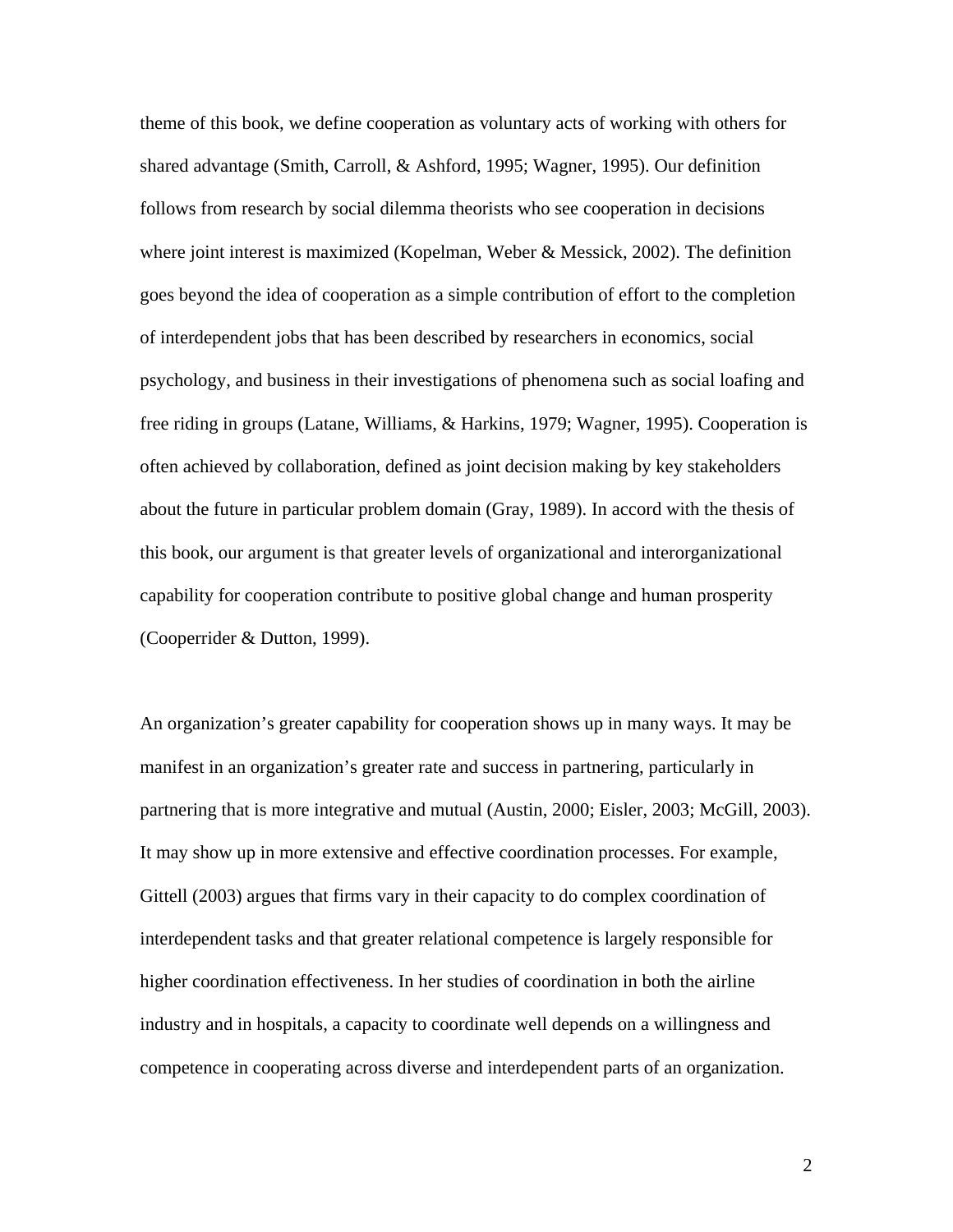theme of this book, we define cooperation as voluntary acts of working with others for shared advantage (Smith, Carroll, & Ashford, 1995; Wagner, 1995). Our definition follows from research by social dilemma theorists who see cooperation in decisions where joint interest is maximized (Kopelman, Weber & Messick, 2002). The definition goes beyond the idea of cooperation as a simple contribution of effort to the completion of interdependent jobs that has been described by researchers in economics, social psychology, and business in their investigations of phenomena such as social loafing and free riding in groups (Latane, Williams, & Harkins, 1979; Wagner, 1995). Cooperation is often achieved by collaboration, defined as joint decision making by key stakeholders about the future in particular problem domain (Gray, 1989). In accord with the thesis of this book, our argument is that greater levels of organizational and interorganizational capability for cooperation contribute to positive global change and human prosperity (Cooperrider & Dutton, 1999).

An organization's greater capability for cooperation shows up in many ways. It may be manifest in an organization's greater rate and success in partnering, particularly in partnering that is more integrative and mutual (Austin, 2000; Eisler, 2003; McGill, 2003). It may show up in more extensive and effective coordination processes. For example, Gittell (2003) argues that firms vary in their capacity to do complex coordination of interdependent tasks and that greater relational competence is largely responsible for higher coordination effectiveness. In her studies of coordination in both the airline industry and in hospitals, a capacity to coordinate well depends on a willingness and competence in cooperating across diverse and interdependent parts of an organization.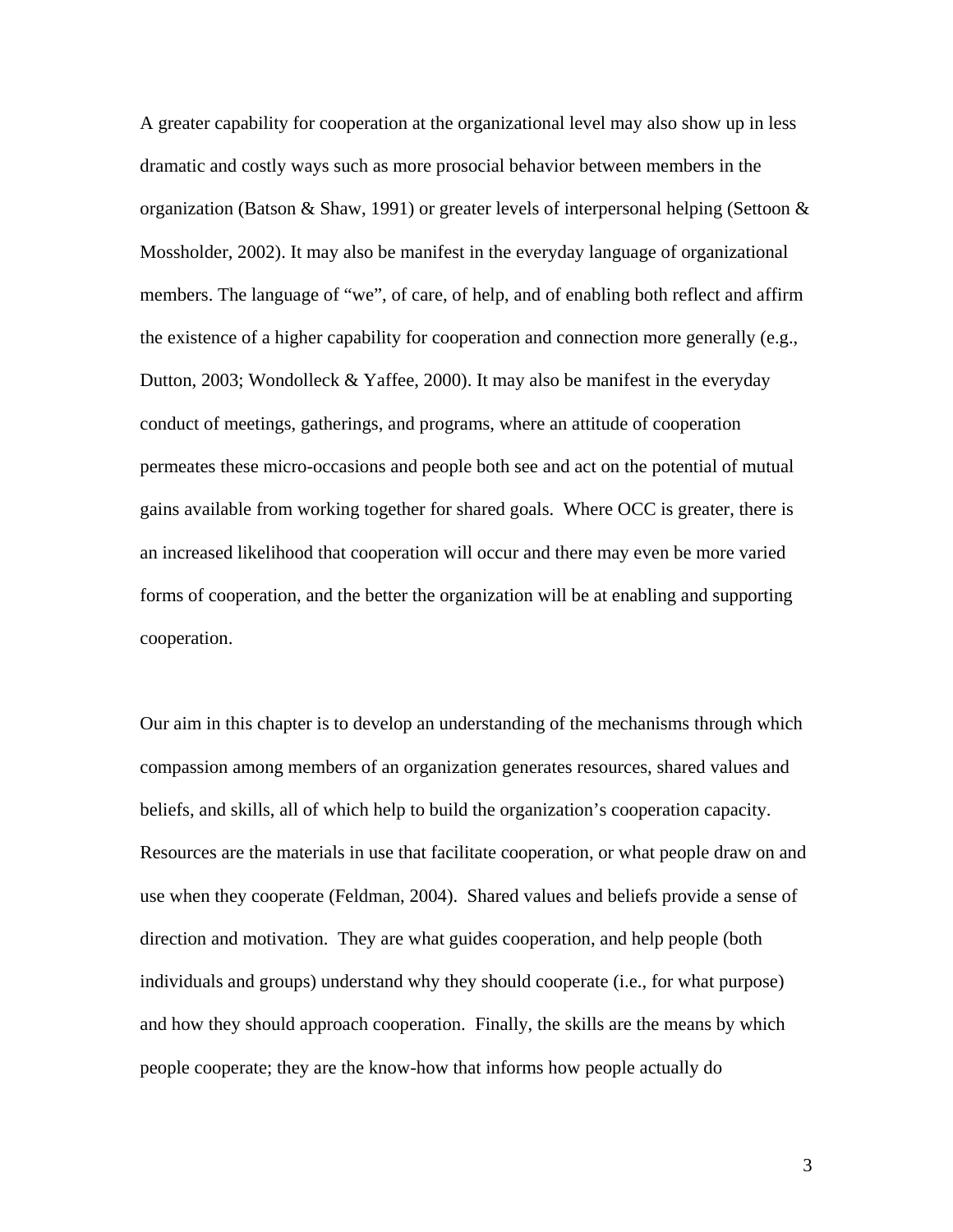A greater capability for cooperation at the organizational level may also show up in less dramatic and costly ways such as more prosocial behavior between members in the organization (Batson & Shaw, 1991) or greater levels of interpersonal helping (Settoon & Mossholder, 2002). It may also be manifest in the everyday language of organizational members. The language of "we", of care, of help, and of enabling both reflect and affirm the existence of a higher capability for cooperation and connection more generally (e.g., Dutton, 2003; Wondolleck & Yaffee, 2000). It may also be manifest in the everyday conduct of meetings, gatherings, and programs, where an attitude of cooperation permeates these micro-occasions and people both see and act on the potential of mutual gains available from working together for shared goals. Where OCC is greater, there is an increased likelihood that cooperation will occur and there may even be more varied forms of cooperation, and the better the organization will be at enabling and supporting cooperation.

Our aim in this chapter is to develop an understanding of the mechanisms through which compassion among members of an organization generates resources, shared values and beliefs, and skills, all of which help to build the organization's cooperation capacity. Resources are the materials in use that facilitate cooperation, or what people draw on and use when they cooperate (Feldman, 2004). Shared values and beliefs provide a sense of direction and motivation. They are what guides cooperation, and help people (both individuals and groups) understand why they should cooperate (i.e., for what purpose) and how they should approach cooperation. Finally, the skills are the means by which people cooperate; they are the know-how that informs how people actually do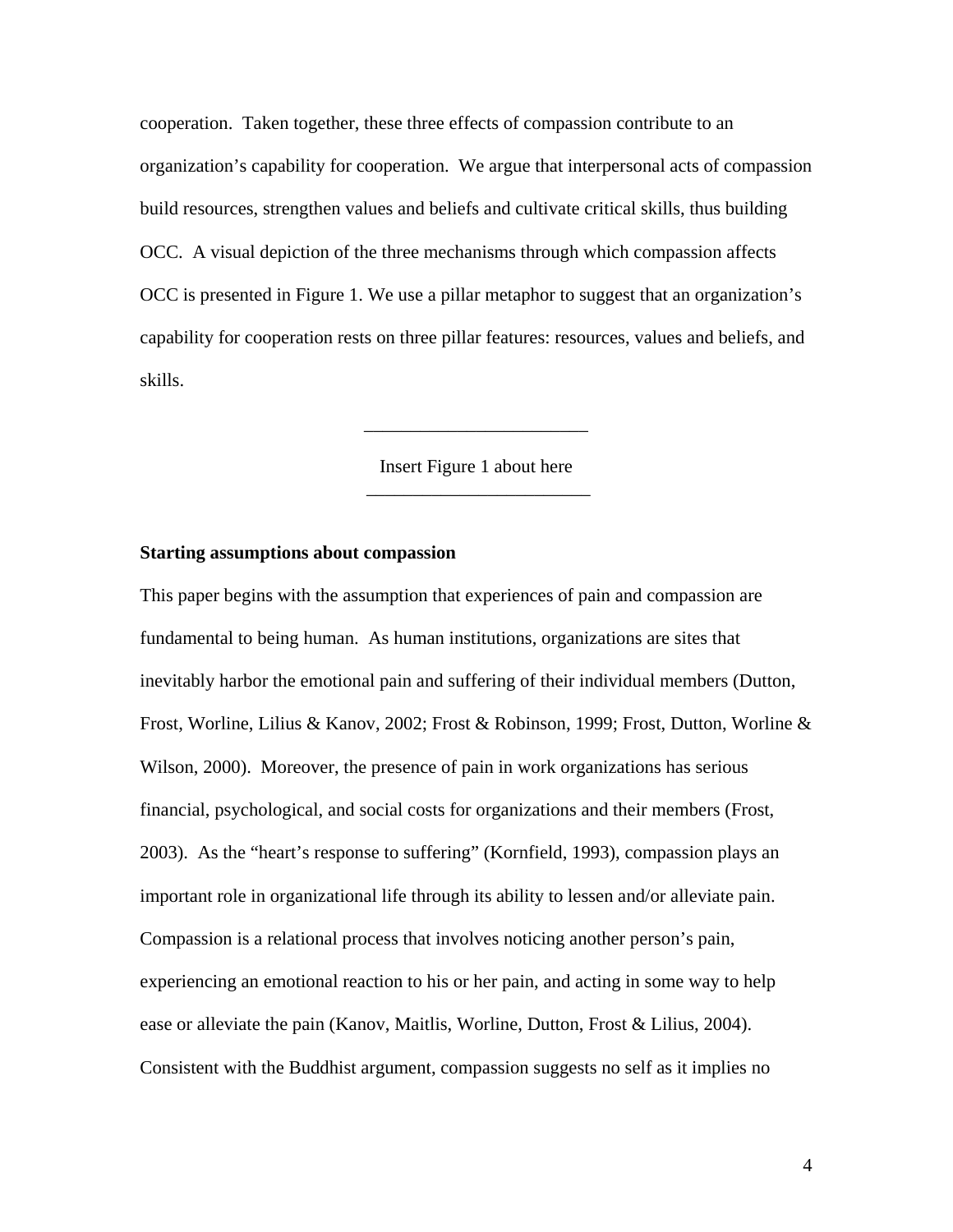cooperation. Taken together, these three effects of compassion contribute to an organization's capability for cooperation. We argue that interpersonal acts of compassion build resources, strengthen values and beliefs and cultivate critical skills, thus building OCC. A visual depiction of the three mechanisms through which compassion affects OCC is presented in Figure 1. We use a pillar metaphor to suggest that an organization's capability for cooperation rests on three pillar features: resources, values and beliefs, and skills.

> Insert Figure 1 about here  $\overline{\phantom{a}...}$  , we can also the contract of  $\overline{\phantom{a}...}$

\_\_\_\_\_\_\_\_\_\_\_\_\_\_\_\_\_\_\_\_\_\_\_\_

# **Starting assumptions about compassion**

This paper begins with the assumption that experiences of pain and compassion are fundamental to being human. As human institutions, organizations are sites that inevitably harbor the emotional pain and suffering of their individual members (Dutton, Frost, Worline, Lilius & Kanov, 2002; Frost & Robinson, 1999; Frost, Dutton, Worline & Wilson, 2000). Moreover, the presence of pain in work organizations has serious financial, psychological, and social costs for organizations and their members (Frost, 2003). As the "heart's response to suffering" (Kornfield, 1993), compassion plays an important role in organizational life through its ability to lessen and/or alleviate pain. Compassion is a relational process that involves noticing another person's pain, experiencing an emotional reaction to his or her pain, and acting in some way to help ease or alleviate the pain (Kanov, Maitlis, Worline, Dutton, Frost & Lilius, 2004). Consistent with the Buddhist argument, compassion suggests no self as it implies no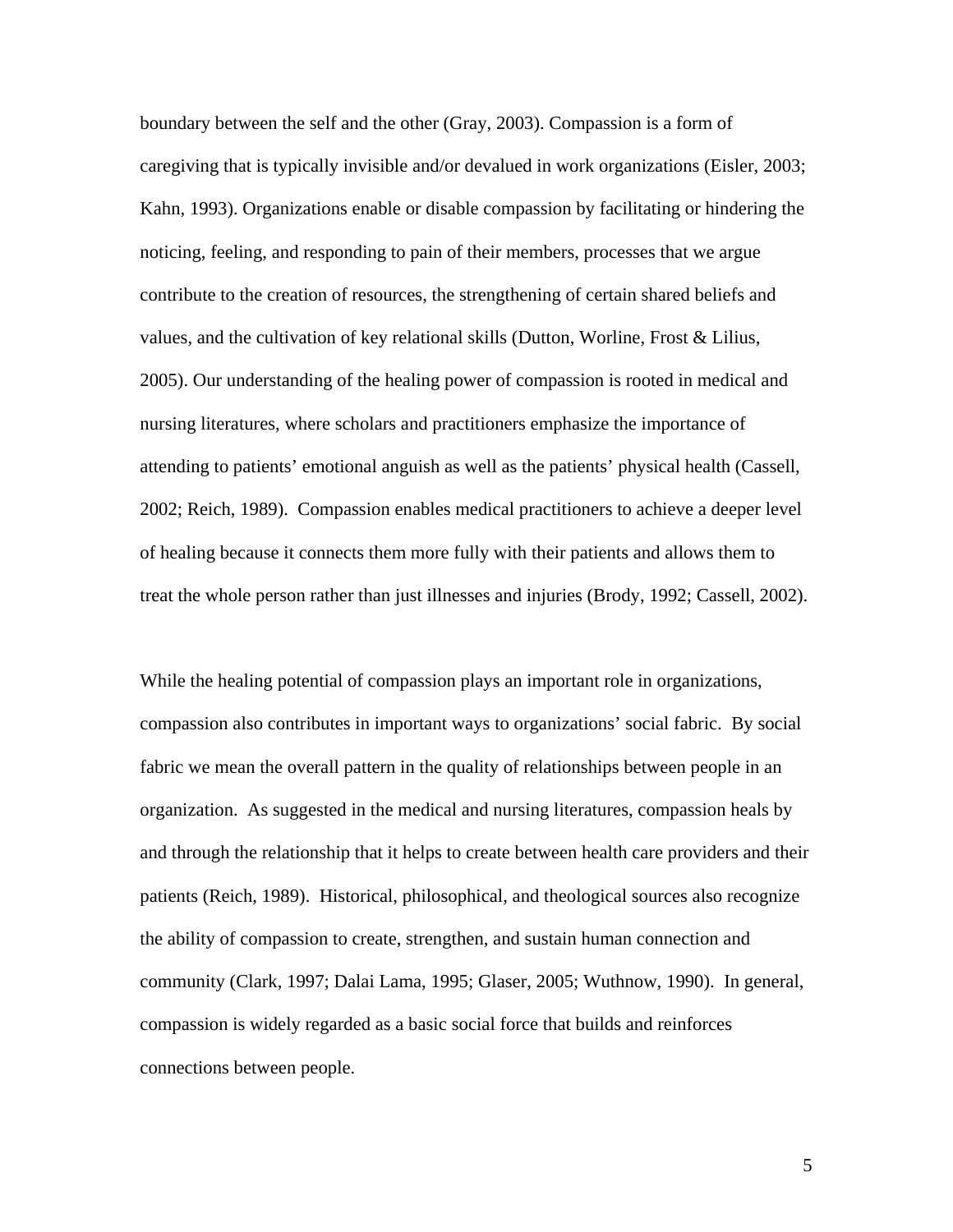boundary between the self and the other (Gray, 2003). Compassion is a form of caregiving that is typically invisible and/or devalued in work organizations (Eisler, 2003; Kahn, 1993). Organizations enable or disable compassion by facilitating or hindering the noticing, feeling, and responding to pain of their members, processes that we argue contribute to the creation of resources, the strengthening of certain shared beliefs and values, and the cultivation of key relational skills (Dutton, Worline, Frost & Lilius, 2005). Our understanding of the healing power of compassion is rooted in medical and nursing literatures, where scholars and practitioners emphasize the importance of attending to patients' emotional anguish as well as the patients' physical health (Cassell, 2002; Reich, 1989). Compassion enables medical practitioners to achieve a deeper level of healing because it connects them more fully with their patients and allows them to treat the whole person rather than just illnesses and injuries (Brody, 1992; Cassell, 2002).

While the healing potential of compassion plays an important role in organizations, compassion also contributes in important ways to organizations' social fabric. By social fabric we mean the overall pattern in the quality of relationships between people in an organization. As suggested in the medical and nursing literatures, compassion heals by and through the relationship that it helps to create between health care providers and their patients (Reich, 1989). Historical, philosophical, and theological sources also recognize the ability of compassion to create, strengthen, and sustain human connection and community (Clark, 1997; Dalai Lama, 1995; Glaser, 2005; Wuthnow, 1990). In general, compassion is widely regarded as a basic social force that builds and reinforces connections between people.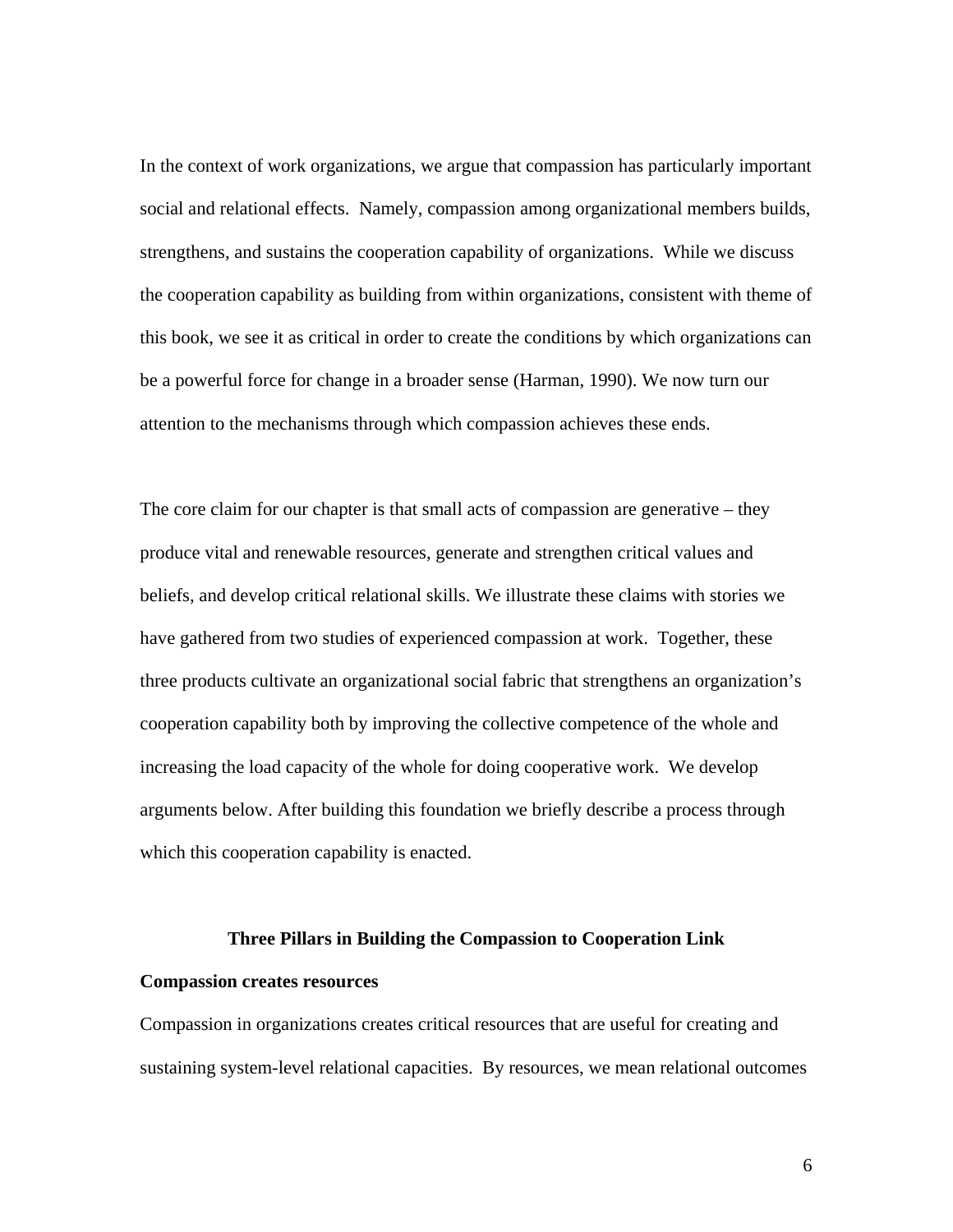In the context of work organizations, we argue that compassion has particularly important social and relational effects. Namely, compassion among organizational members builds, strengthens, and sustains the cooperation capability of organizations. While we discuss the cooperation capability as building from within organizations, consistent with theme of this book, we see it as critical in order to create the conditions by which organizations can be a powerful force for change in a broader sense (Harman, 1990). We now turn our attention to the mechanisms through which compassion achieves these ends.

The core claim for our chapter is that small acts of compassion are generative – they produce vital and renewable resources, generate and strengthen critical values and beliefs, and develop critical relational skills. We illustrate these claims with stories we have gathered from two studies of experienced compassion at work. Together, these three products cultivate an organizational social fabric that strengthens an organization's cooperation capability both by improving the collective competence of the whole and increasing the load capacity of the whole for doing cooperative work. We develop arguments below. After building this foundation we briefly describe a process through which this cooperation capability is enacted.

#### **Three Pillars in Building the Compassion to Cooperation Link**

#### **Compassion creates resources**

Compassion in organizations creates critical resources that are useful for creating and sustaining system-level relational capacities. By resources, we mean relational outcomes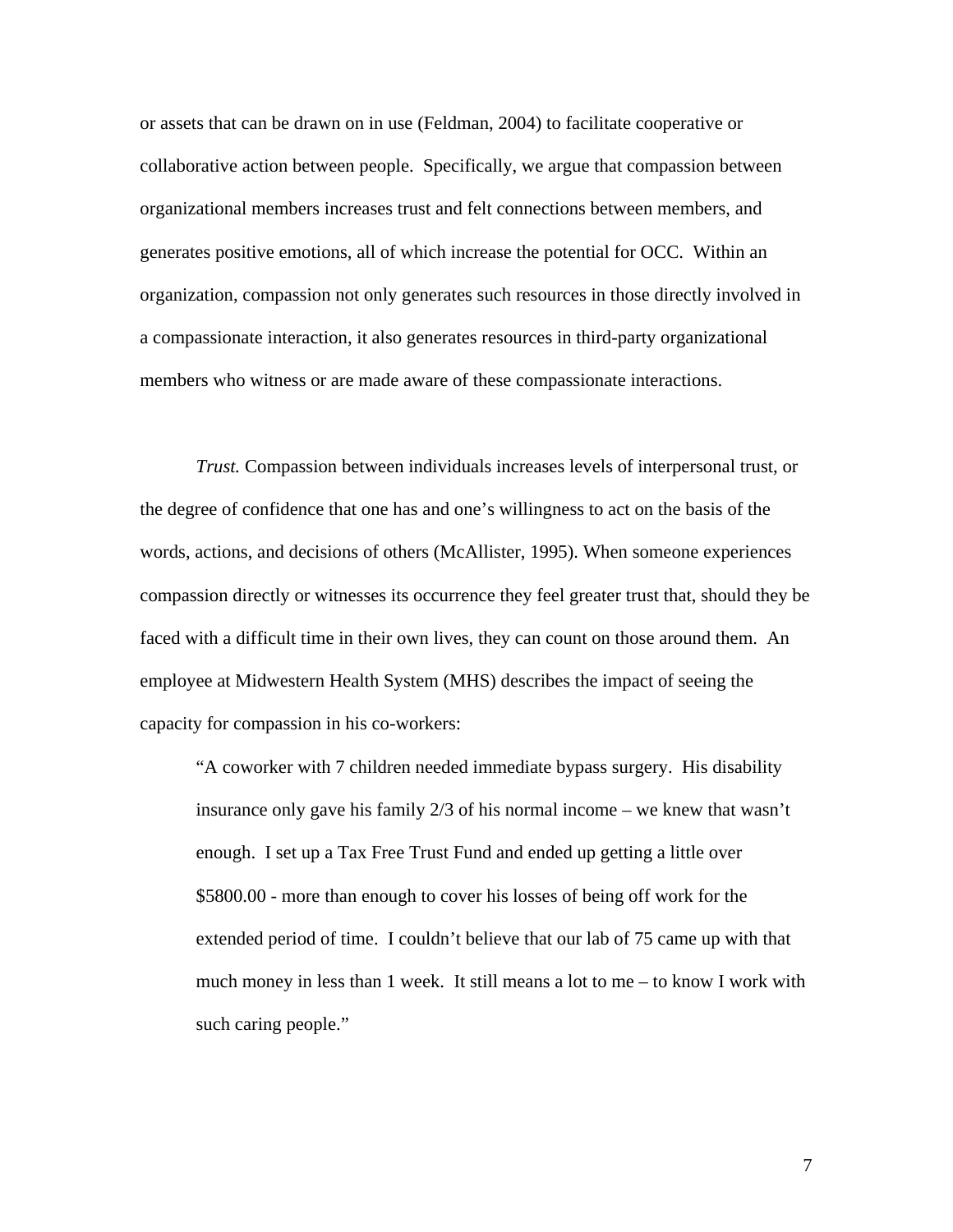or assets that can be drawn on in use (Feldman, 2004) to facilitate cooperative or collaborative action between people. Specifically, we argue that compassion between organizational members increases trust and felt connections between members, and generates positive emotions, all of which increase the potential for OCC. Within an organization, compassion not only generates such resources in those directly involved in a compassionate interaction, it also generates resources in third-party organizational members who witness or are made aware of these compassionate interactions.

*Trust.* Compassion between individuals increases levels of interpersonal trust, or the degree of confidence that one has and one's willingness to act on the basis of the words, actions, and decisions of others (McAllister, 1995). When someone experiences compassion directly or witnesses its occurrence they feel greater trust that, should they be faced with a difficult time in their own lives, they can count on those around them. An employee at Midwestern Health System (MHS) describes the impact of seeing the capacity for compassion in his co-workers:

"A coworker with 7 children needed immediate bypass surgery. His disability insurance only gave his family 2/3 of his normal income – we knew that wasn't enough. I set up a Tax Free Trust Fund and ended up getting a little over \$5800.00 - more than enough to cover his losses of being off work for the extended period of time. I couldn't believe that our lab of 75 came up with that much money in less than 1 week. It still means a lot to me – to know I work with such caring people."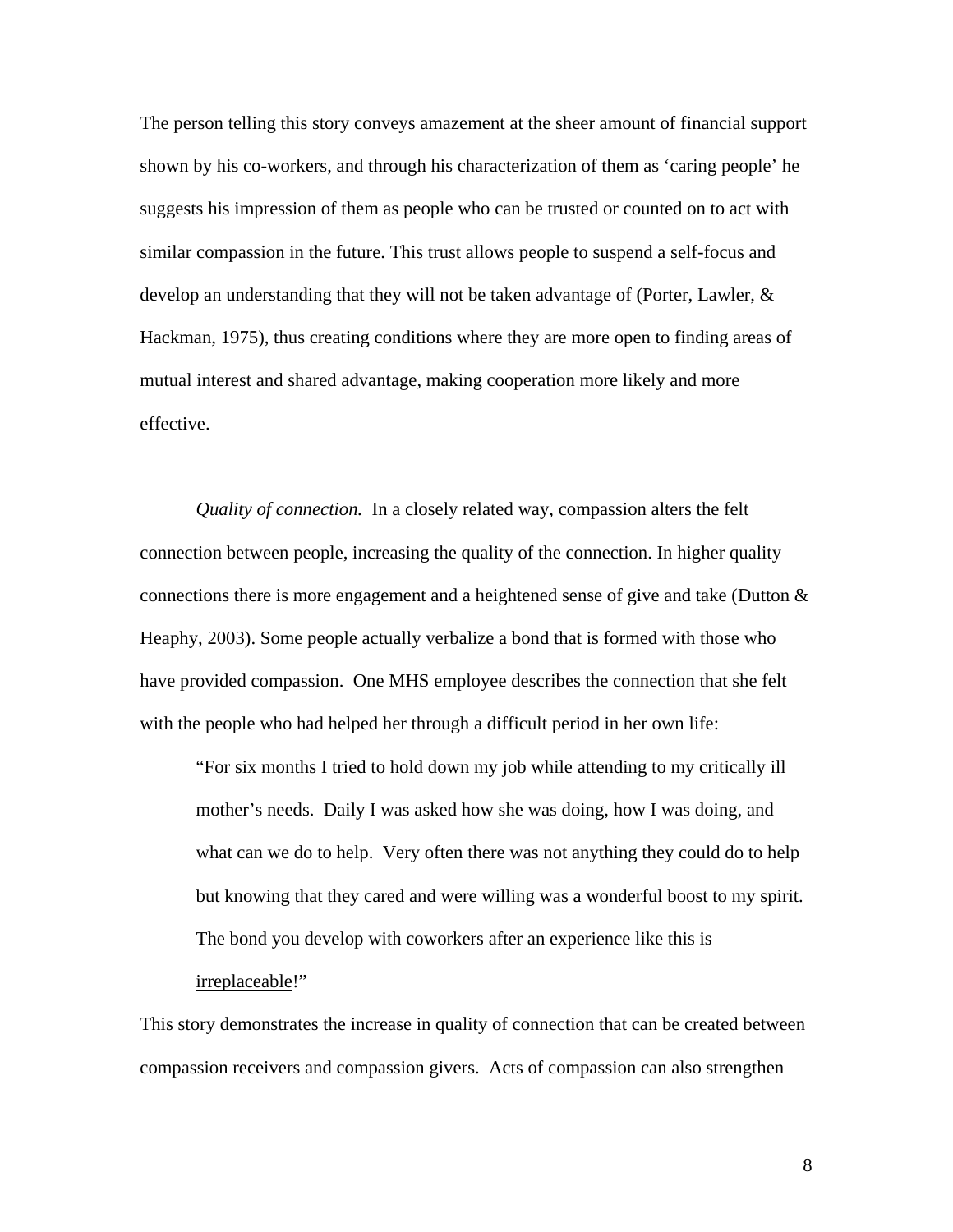The person telling this story conveys amazement at the sheer amount of financial support shown by his co-workers, and through his characterization of them as 'caring people' he suggests his impression of them as people who can be trusted or counted on to act with similar compassion in the future. This trust allows people to suspend a self-focus and develop an understanding that they will not be taken advantage of (Porter, Lawler, & Hackman, 1975), thus creating conditions where they are more open to finding areas of mutual interest and shared advantage, making cooperation more likely and more effective.

*Quality of connection.* In a closely related way, compassion alters the felt connection between people, increasing the quality of the connection. In higher quality connections there is more engagement and a heightened sense of give and take (Dutton  $\&$ Heaphy, 2003). Some people actually verbalize a bond that is formed with those who have provided compassion. One MHS employee describes the connection that she felt with the people who had helped her through a difficult period in her own life:

"For six months I tried to hold down my job while attending to my critically ill mother's needs. Daily I was asked how she was doing, how I was doing, and what can we do to help. Very often there was not anything they could do to help but knowing that they cared and were willing was a wonderful boost to my spirit. The bond you develop with coworkers after an experience like this is

#### irreplaceable!"

This story demonstrates the increase in quality of connection that can be created between compassion receivers and compassion givers. Acts of compassion can also strengthen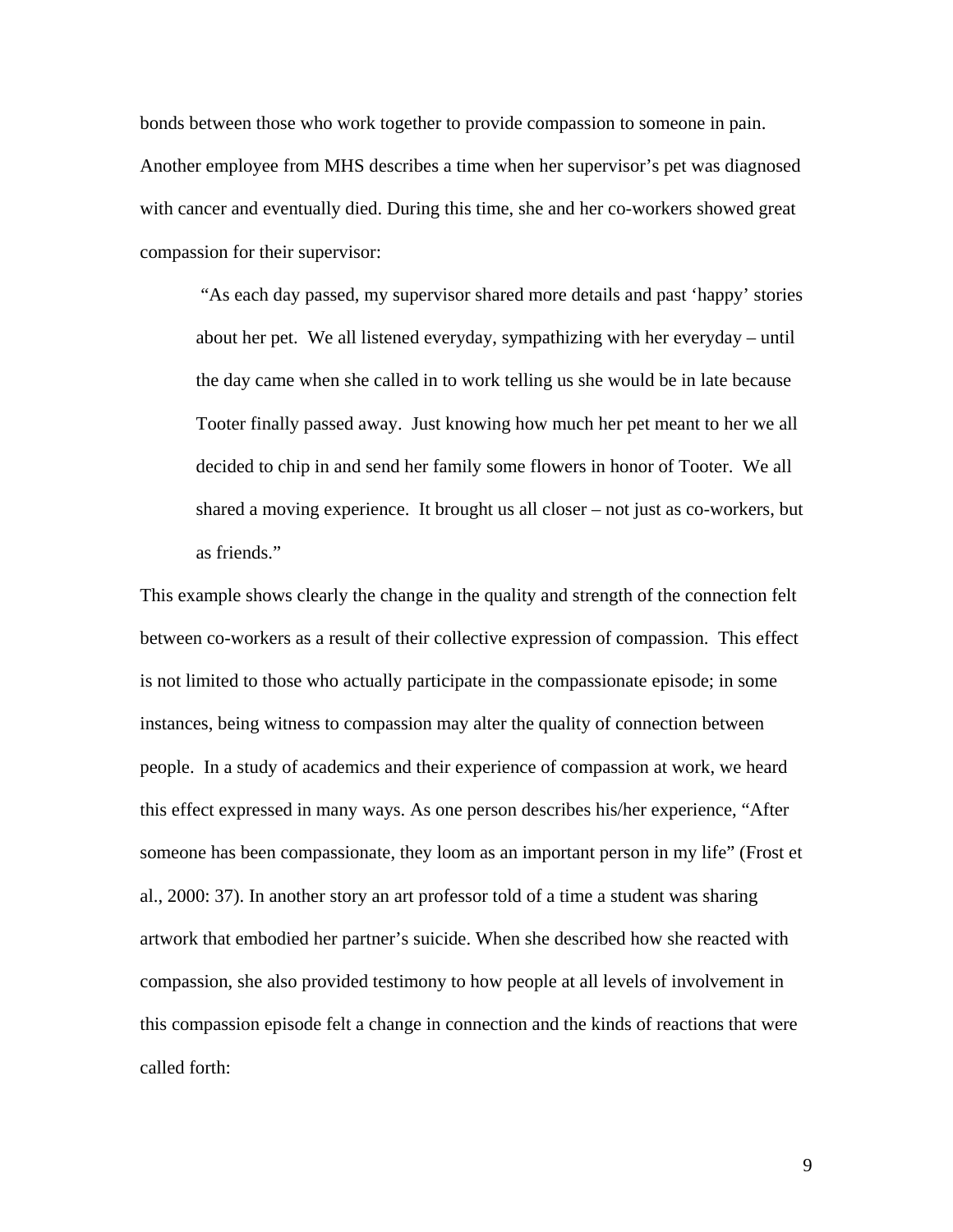bonds between those who work together to provide compassion to someone in pain. Another employee from MHS describes a time when her supervisor's pet was diagnosed with cancer and eventually died. During this time, she and her co-workers showed great compassion for their supervisor:

 "As each day passed, my supervisor shared more details and past 'happy' stories about her pet. We all listened everyday, sympathizing with her everyday – until the day came when she called in to work telling us she would be in late because Tooter finally passed away. Just knowing how much her pet meant to her we all decided to chip in and send her family some flowers in honor of Tooter. We all shared a moving experience. It brought us all closer – not just as co-workers, but as friends."

This example shows clearly the change in the quality and strength of the connection felt between co-workers as a result of their collective expression of compassion. This effect is not limited to those who actually participate in the compassionate episode; in some instances, being witness to compassion may alter the quality of connection between people. In a study of academics and their experience of compassion at work, we heard this effect expressed in many ways. As one person describes his/her experience, "After someone has been compassionate, they loom as an important person in my life" (Frost et al., 2000: 37). In another story an art professor told of a time a student was sharing artwork that embodied her partner's suicide. When she described how she reacted with compassion, she also provided testimony to how people at all levels of involvement in this compassion episode felt a change in connection and the kinds of reactions that were called forth: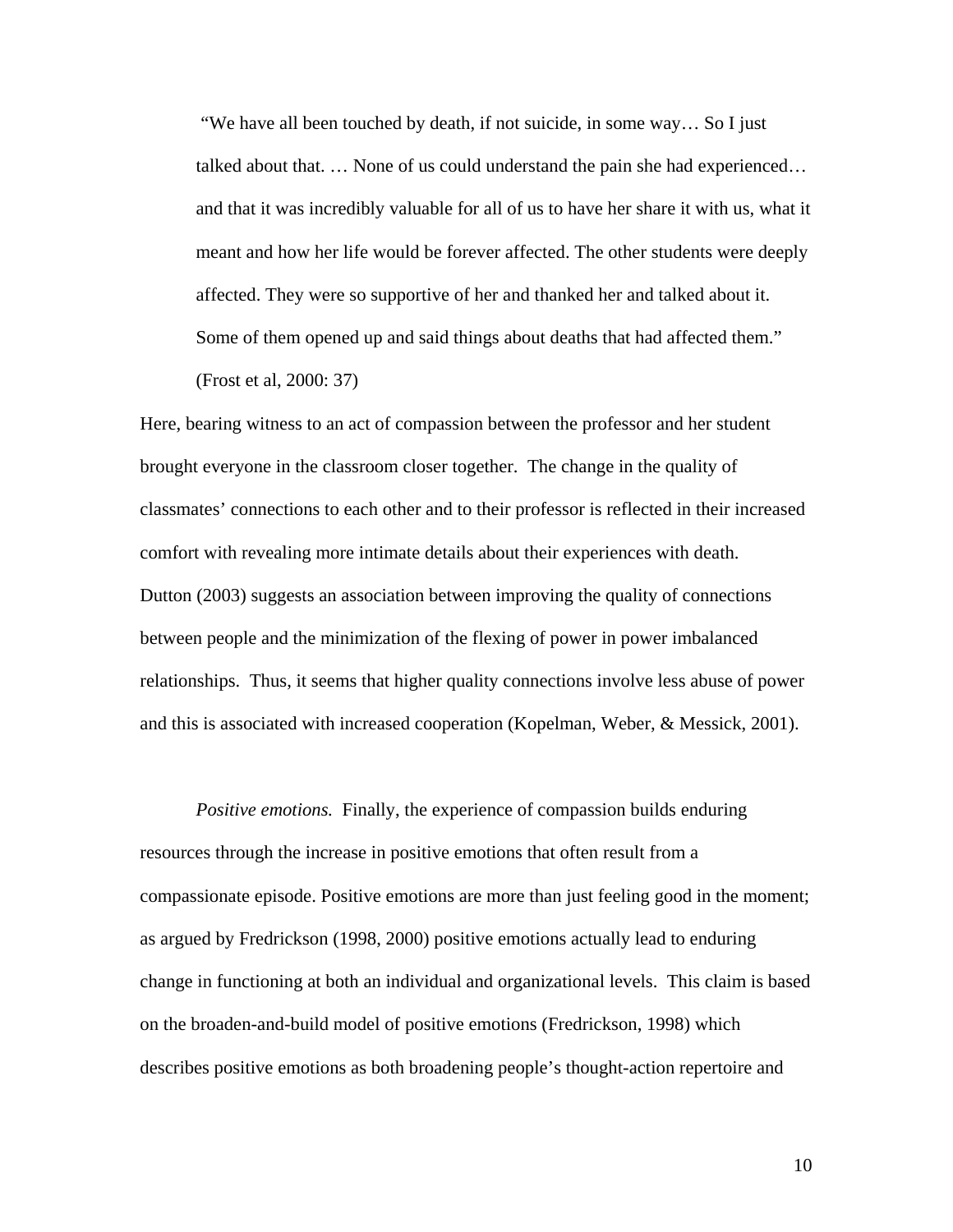"We have all been touched by death, if not suicide, in some way… So I just talked about that. … None of us could understand the pain she had experienced… and that it was incredibly valuable for all of us to have her share it with us, what it meant and how her life would be forever affected. The other students were deeply affected. They were so supportive of her and thanked her and talked about it. Some of them opened up and said things about deaths that had affected them." (Frost et al, 2000: 37)

Here, bearing witness to an act of compassion between the professor and her student brought everyone in the classroom closer together. The change in the quality of classmates' connections to each other and to their professor is reflected in their increased comfort with revealing more intimate details about their experiences with death. Dutton (2003) suggests an association between improving the quality of connections between people and the minimization of the flexing of power in power imbalanced relationships. Thus, it seems that higher quality connections involve less abuse of power and this is associated with increased cooperation (Kopelman, Weber, & Messick, 2001).

*Positive emotions.* Finally, the experience of compassion builds enduring resources through the increase in positive emotions that often result from a compassionate episode. Positive emotions are more than just feeling good in the moment; as argued by Fredrickson (1998, 2000) positive emotions actually lead to enduring change in functioning at both an individual and organizational levels. This claim is based on the broaden-and-build model of positive emotions (Fredrickson, 1998) which describes positive emotions as both broadening people's thought-action repertoire and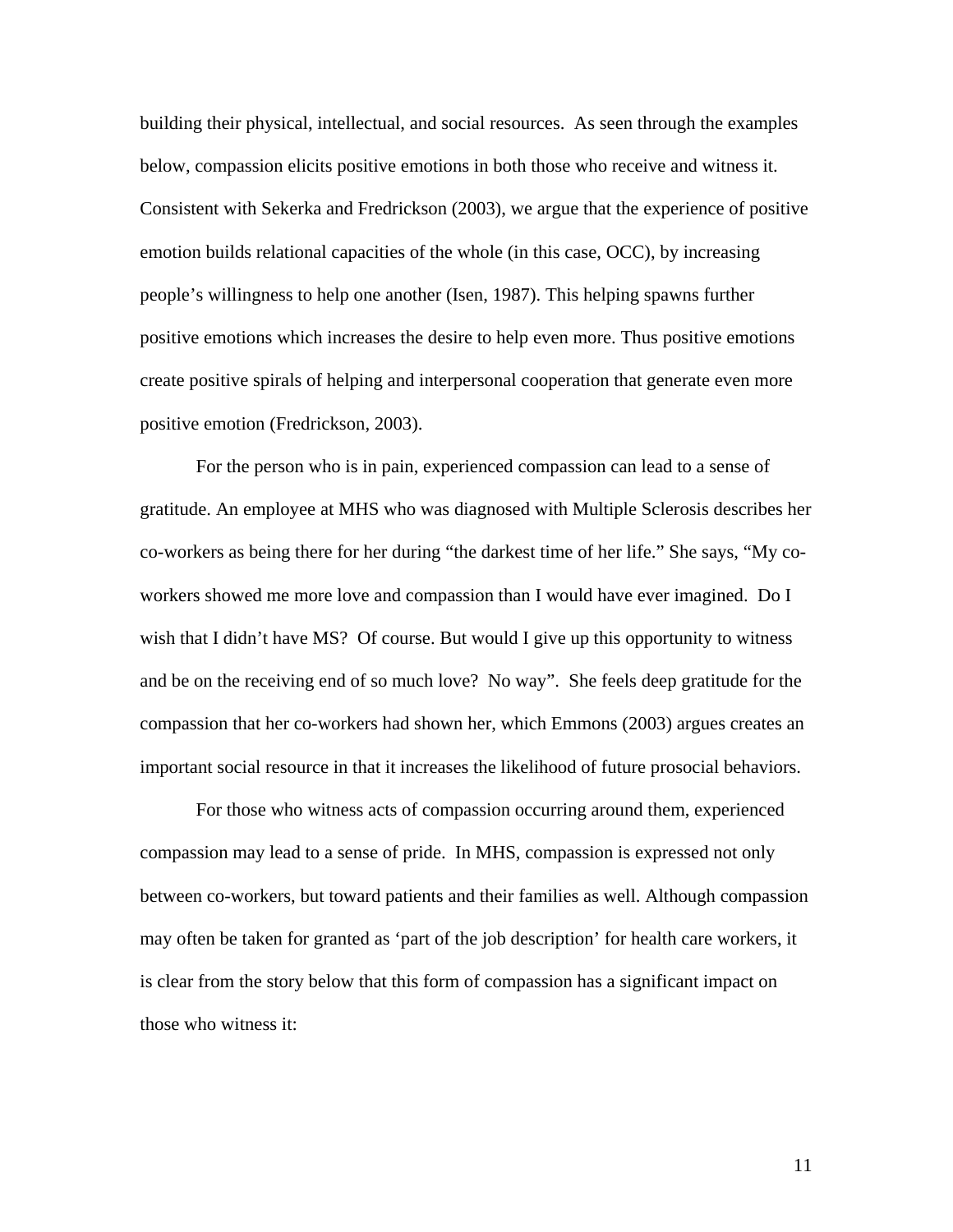building their physical, intellectual, and social resources. As seen through the examples below, compassion elicits positive emotions in both those who receive and witness it. Consistent with Sekerka and Fredrickson (2003), we argue that the experience of positive emotion builds relational capacities of the whole (in this case, OCC), by increasing people's willingness to help one another (Isen, 1987). This helping spawns further positive emotions which increases the desire to help even more. Thus positive emotions create positive spirals of helping and interpersonal cooperation that generate even more positive emotion (Fredrickson, 2003).

For the person who is in pain, experienced compassion can lead to a sense of gratitude. An employee at MHS who was diagnosed with Multiple Sclerosis describes her co-workers as being there for her during "the darkest time of her life." She says, "My coworkers showed me more love and compassion than I would have ever imagined. Do I wish that I didn't have MS? Of course. But would I give up this opportunity to witness and be on the receiving end of so much love? No way". She feels deep gratitude for the compassion that her co-workers had shown her, which Emmons (2003) argues creates an important social resource in that it increases the likelihood of future prosocial behaviors.

For those who witness acts of compassion occurring around them, experienced compassion may lead to a sense of pride. In MHS, compassion is expressed not only between co-workers, but toward patients and their families as well. Although compassion may often be taken for granted as 'part of the job description' for health care workers, it is clear from the story below that this form of compassion has a significant impact on those who witness it: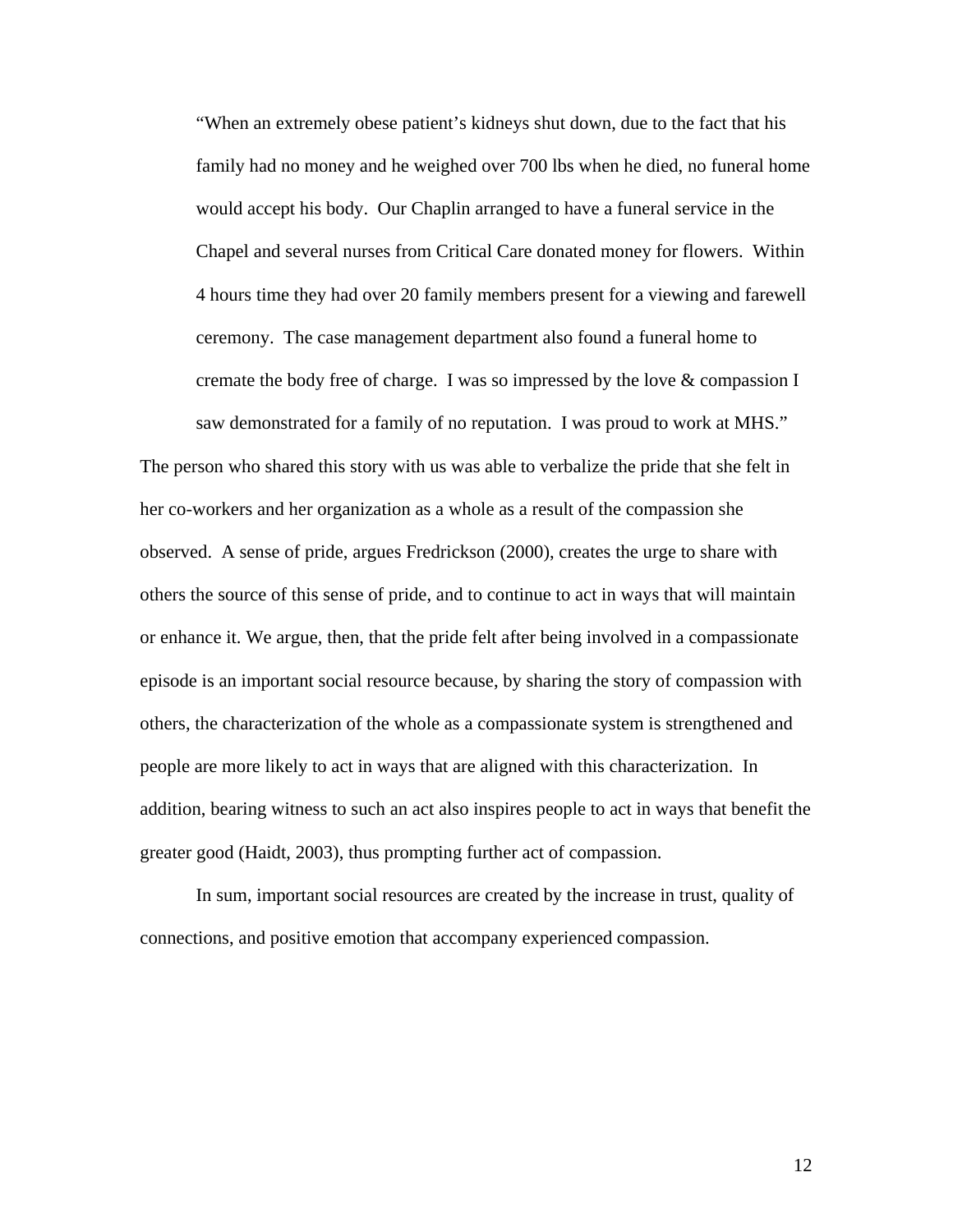"When an extremely obese patient's kidneys shut down, due to the fact that his family had no money and he weighed over 700 lbs when he died, no funeral home would accept his body. Our Chaplin arranged to have a funeral service in the Chapel and several nurses from Critical Care donated money for flowers. Within 4 hours time they had over 20 family members present for a viewing and farewell ceremony. The case management department also found a funeral home to cremate the body free of charge. I was so impressed by the love & compassion I saw demonstrated for a family of no reputation. I was proud to work at MHS."

The person who shared this story with us was able to verbalize the pride that she felt in her co-workers and her organization as a whole as a result of the compassion she observed. A sense of pride, argues Fredrickson (2000), creates the urge to share with others the source of this sense of pride, and to continue to act in ways that will maintain or enhance it. We argue, then, that the pride felt after being involved in a compassionate episode is an important social resource because, by sharing the story of compassion with others, the characterization of the whole as a compassionate system is strengthened and people are more likely to act in ways that are aligned with this characterization. In addition, bearing witness to such an act also inspires people to act in ways that benefit the greater good (Haidt, 2003), thus prompting further act of compassion.

In sum, important social resources are created by the increase in trust, quality of connections, and positive emotion that accompany experienced compassion.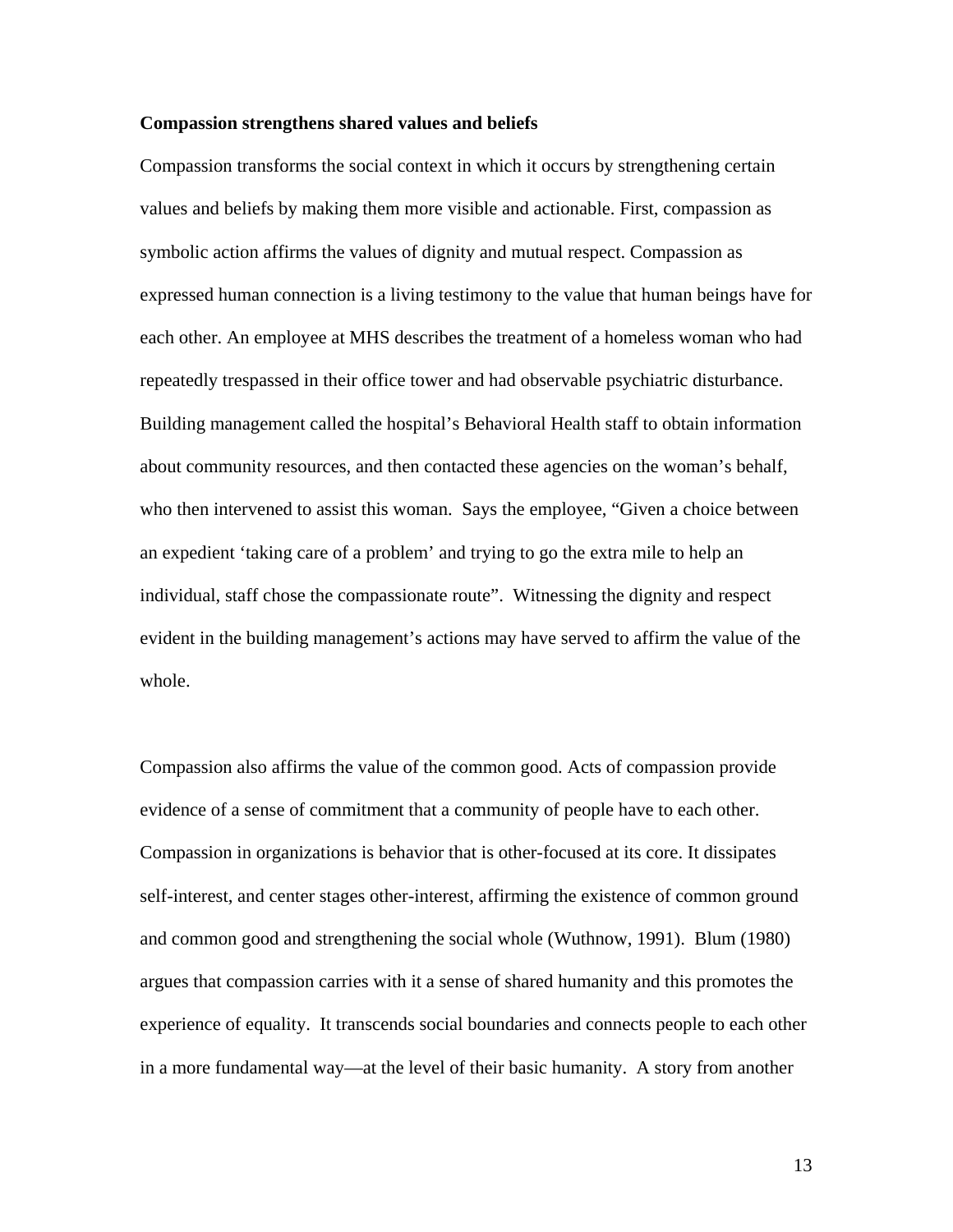#### **Compassion strengthens shared values and beliefs**

Compassion transforms the social context in which it occurs by strengthening certain values and beliefs by making them more visible and actionable. First, compassion as symbolic action affirms the values of dignity and mutual respect. Compassion as expressed human connection is a living testimony to the value that human beings have for each other. An employee at MHS describes the treatment of a homeless woman who had repeatedly trespassed in their office tower and had observable psychiatric disturbance. Building management called the hospital's Behavioral Health staff to obtain information about community resources, and then contacted these agencies on the woman's behalf, who then intervened to assist this woman. Says the employee, "Given a choice between an expedient 'taking care of a problem' and trying to go the extra mile to help an individual, staff chose the compassionate route". Witnessing the dignity and respect evident in the building management's actions may have served to affirm the value of the whole.

Compassion also affirms the value of the common good. Acts of compassion provide evidence of a sense of commitment that a community of people have to each other. Compassion in organizations is behavior that is other-focused at its core. It dissipates self-interest, and center stages other-interest, affirming the existence of common ground and common good and strengthening the social whole (Wuthnow, 1991). Blum (1980) argues that compassion carries with it a sense of shared humanity and this promotes the experience of equality. It transcends social boundaries and connects people to each other in a more fundamental way—at the level of their basic humanity. A story from another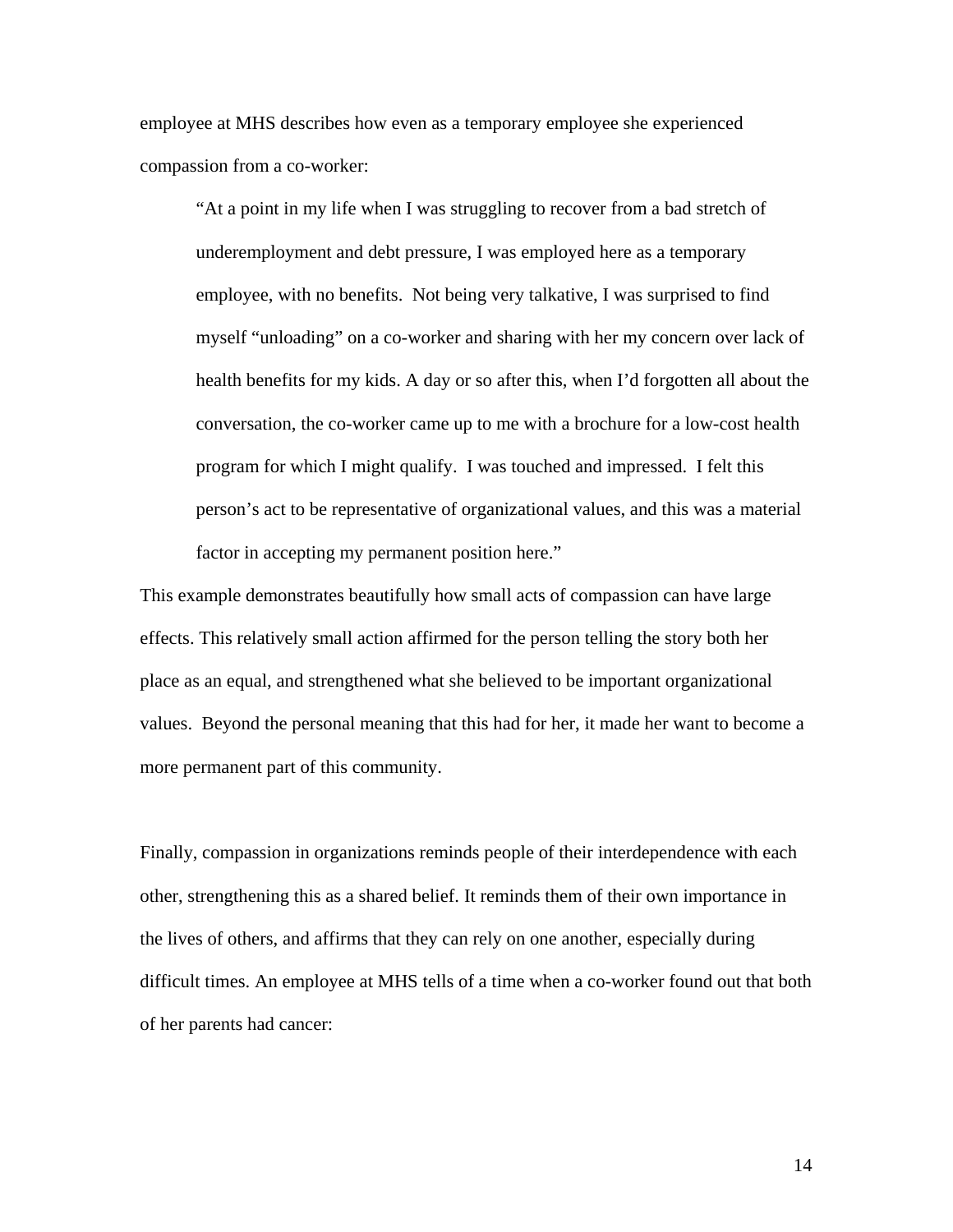employee at MHS describes how even as a temporary employee she experienced compassion from a co-worker:

"At a point in my life when I was struggling to recover from a bad stretch of underemployment and debt pressure, I was employed here as a temporary employee, with no benefits. Not being very talkative, I was surprised to find myself "unloading" on a co-worker and sharing with her my concern over lack of health benefits for my kids. A day or so after this, when I'd forgotten all about the conversation, the co-worker came up to me with a brochure for a low-cost health program for which I might qualify. I was touched and impressed. I felt this person's act to be representative of organizational values, and this was a material factor in accepting my permanent position here."

This example demonstrates beautifully how small acts of compassion can have large effects. This relatively small action affirmed for the person telling the story both her place as an equal, and strengthened what she believed to be important organizational values. Beyond the personal meaning that this had for her, it made her want to become a more permanent part of this community.

Finally, compassion in organizations reminds people of their interdependence with each other, strengthening this as a shared belief. It reminds them of their own importance in the lives of others, and affirms that they can rely on one another, especially during difficult times. An employee at MHS tells of a time when a co-worker found out that both of her parents had cancer: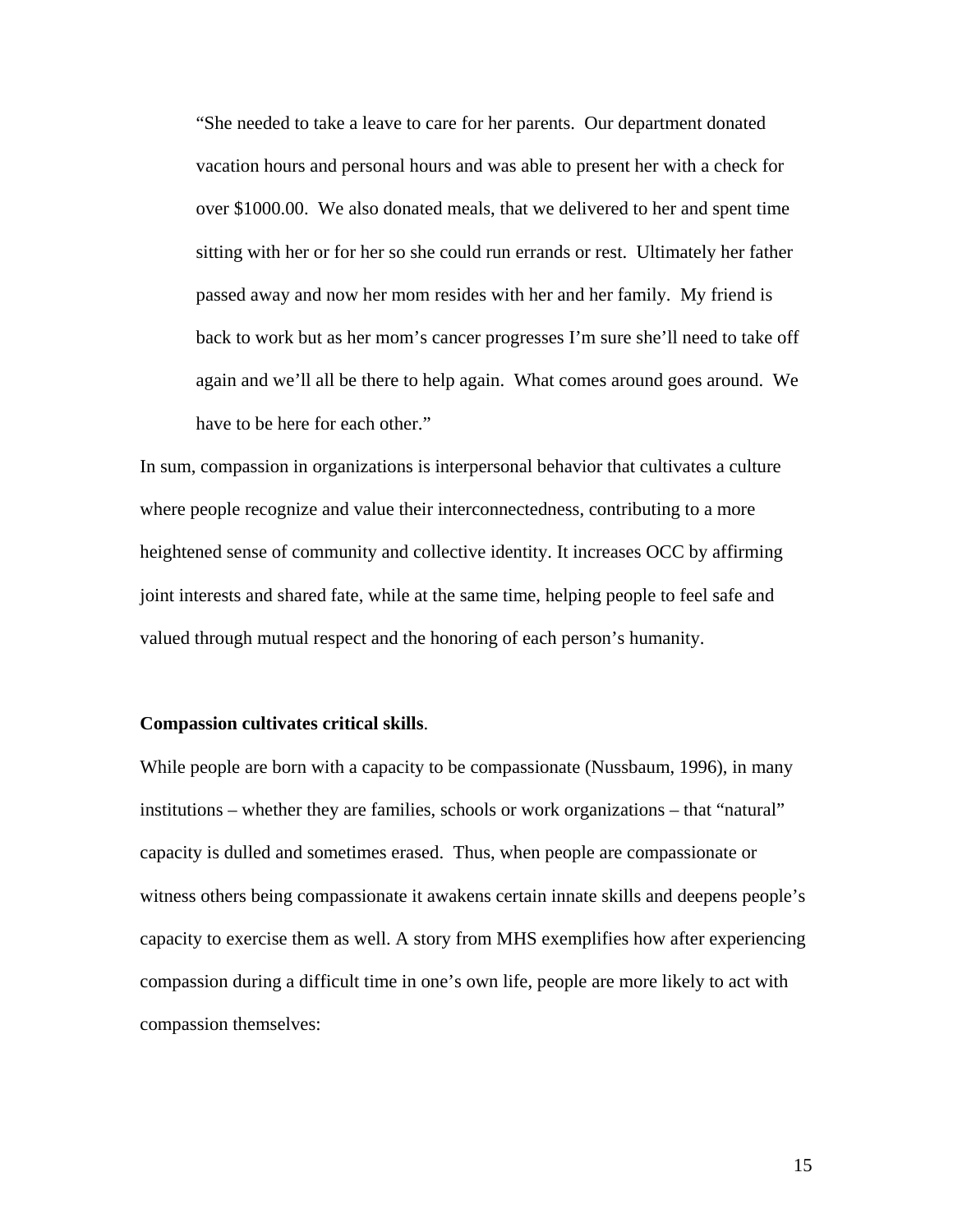"She needed to take a leave to care for her parents. Our department donated vacation hours and personal hours and was able to present her with a check for over \$1000.00. We also donated meals, that we delivered to her and spent time sitting with her or for her so she could run errands or rest. Ultimately her father passed away and now her mom resides with her and her family. My friend is back to work but as her mom's cancer progresses I'm sure she'll need to take off again and we'll all be there to help again. What comes around goes around. We have to be here for each other."

In sum, compassion in organizations is interpersonal behavior that cultivates a culture where people recognize and value their interconnectedness, contributing to a more heightened sense of community and collective identity. It increases OCC by affirming joint interests and shared fate, while at the same time, helping people to feel safe and valued through mutual respect and the honoring of each person's humanity.

## **Compassion cultivates critical skills**.

While people are born with a capacity to be compassionate (Nussbaum, 1996), in many institutions – whether they are families, schools or work organizations – that "natural" capacity is dulled and sometimes erased. Thus, when people are compassionate or witness others being compassionate it awakens certain innate skills and deepens people's capacity to exercise them as well. A story from MHS exemplifies how after experiencing compassion during a difficult time in one's own life, people are more likely to act with compassion themselves: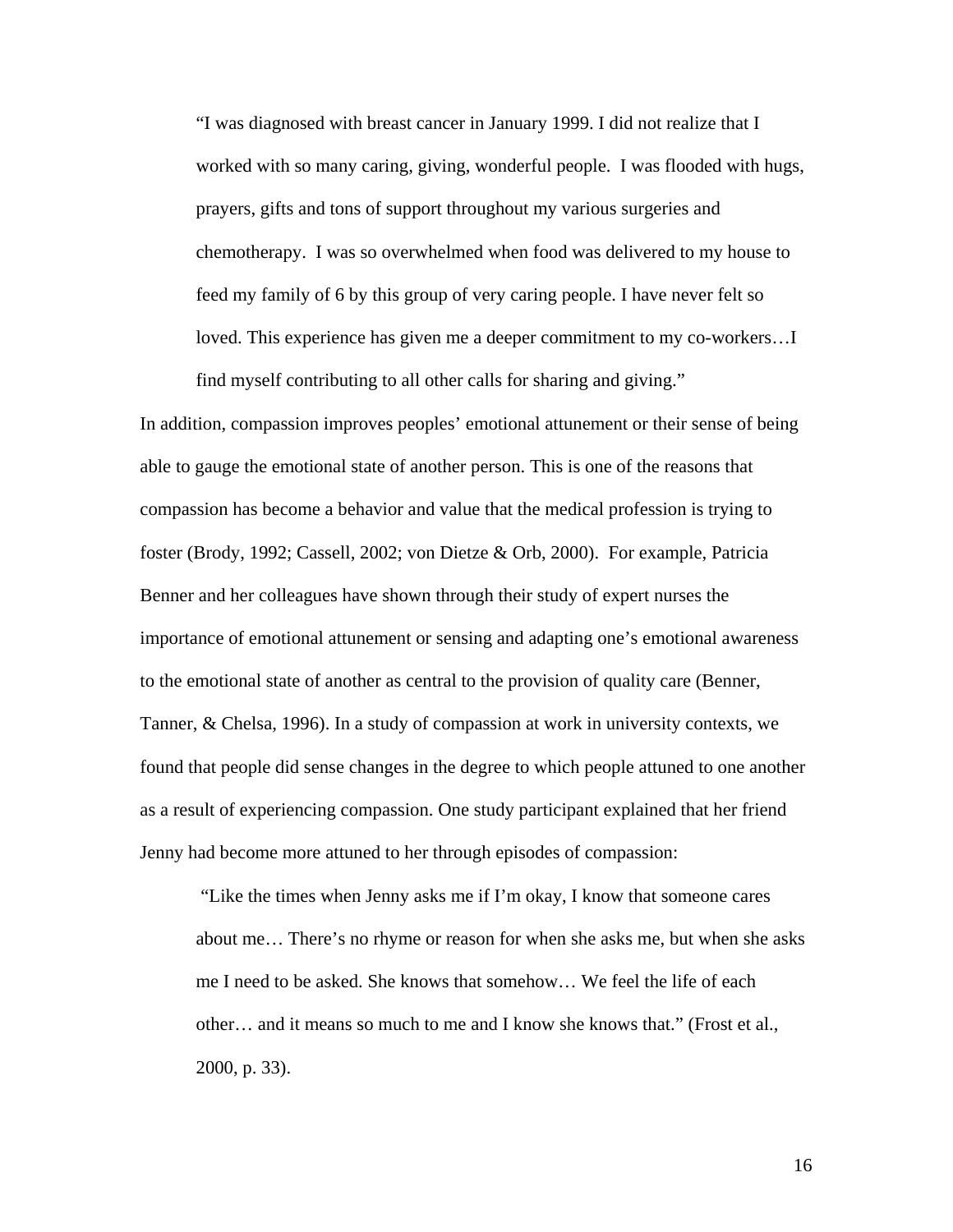"I was diagnosed with breast cancer in January 1999. I did not realize that I worked with so many caring, giving, wonderful people. I was flooded with hugs, prayers, gifts and tons of support throughout my various surgeries and chemotherapy. I was so overwhelmed when food was delivered to my house to feed my family of 6 by this group of very caring people. I have never felt so loved. This experience has given me a deeper commitment to my co-workers…I find myself contributing to all other calls for sharing and giving."

In addition, compassion improves peoples' emotional attunement or their sense of being able to gauge the emotional state of another person. This is one of the reasons that compassion has become a behavior and value that the medical profession is trying to foster (Brody, 1992; Cassell, 2002; von Dietze & Orb, 2000). For example, Patricia Benner and her colleagues have shown through their study of expert nurses the importance of emotional attunement or sensing and adapting one's emotional awareness to the emotional state of another as central to the provision of quality care (Benner, Tanner, & Chelsa, 1996). In a study of compassion at work in university contexts, we found that people did sense changes in the degree to which people attuned to one another as a result of experiencing compassion. One study participant explained that her friend Jenny had become more attuned to her through episodes of compassion:

 "Like the times when Jenny asks me if I'm okay, I know that someone cares about me… There's no rhyme or reason for when she asks me, but when she asks me I need to be asked. She knows that somehow… We feel the life of each other… and it means so much to me and I know she knows that." (Frost et al., 2000, p. 33).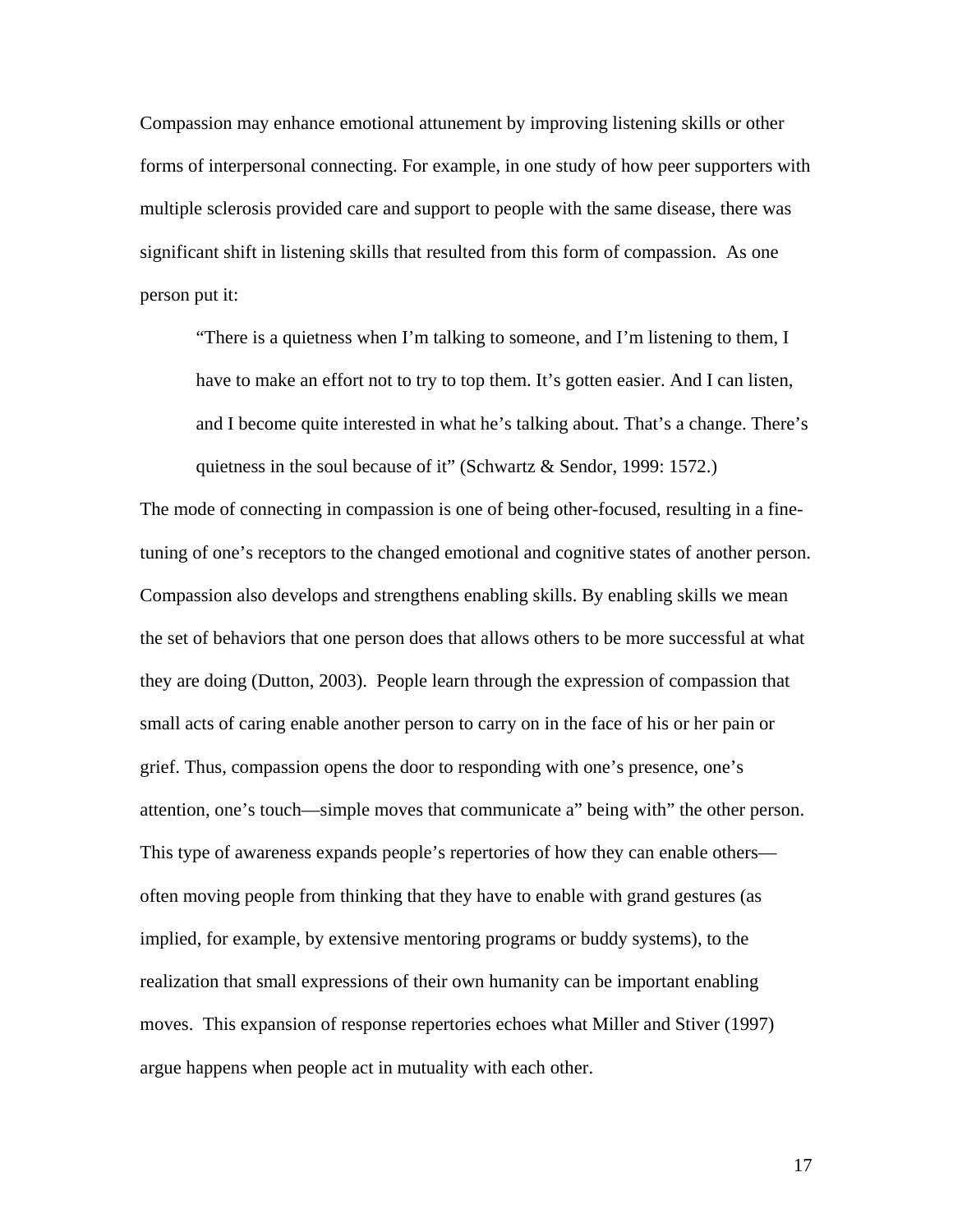Compassion may enhance emotional attunement by improving listening skills or other forms of interpersonal connecting. For example, in one study of how peer supporters with multiple sclerosis provided care and support to people with the same disease, there was significant shift in listening skills that resulted from this form of compassion. As one person put it:

"There is a quietness when I'm talking to someone, and I'm listening to them, I have to make an effort not to try to top them. It's gotten easier. And I can listen, and I become quite interested in what he's talking about. That's a change. There's quietness in the soul because of it" (Schwartz & Sendor, 1999: 1572.)

The mode of connecting in compassion is one of being other-focused, resulting in a finetuning of one's receptors to the changed emotional and cognitive states of another person. Compassion also develops and strengthens enabling skills. By enabling skills we mean the set of behaviors that one person does that allows others to be more successful at what they are doing (Dutton, 2003). People learn through the expression of compassion that small acts of caring enable another person to carry on in the face of his or her pain or grief. Thus, compassion opens the door to responding with one's presence, one's attention, one's touch—simple moves that communicate a" being with" the other person. This type of awareness expands people's repertories of how they can enable others often moving people from thinking that they have to enable with grand gestures (as implied, for example, by extensive mentoring programs or buddy systems), to the realization that small expressions of their own humanity can be important enabling moves. This expansion of response repertories echoes what Miller and Stiver (1997) argue happens when people act in mutuality with each other.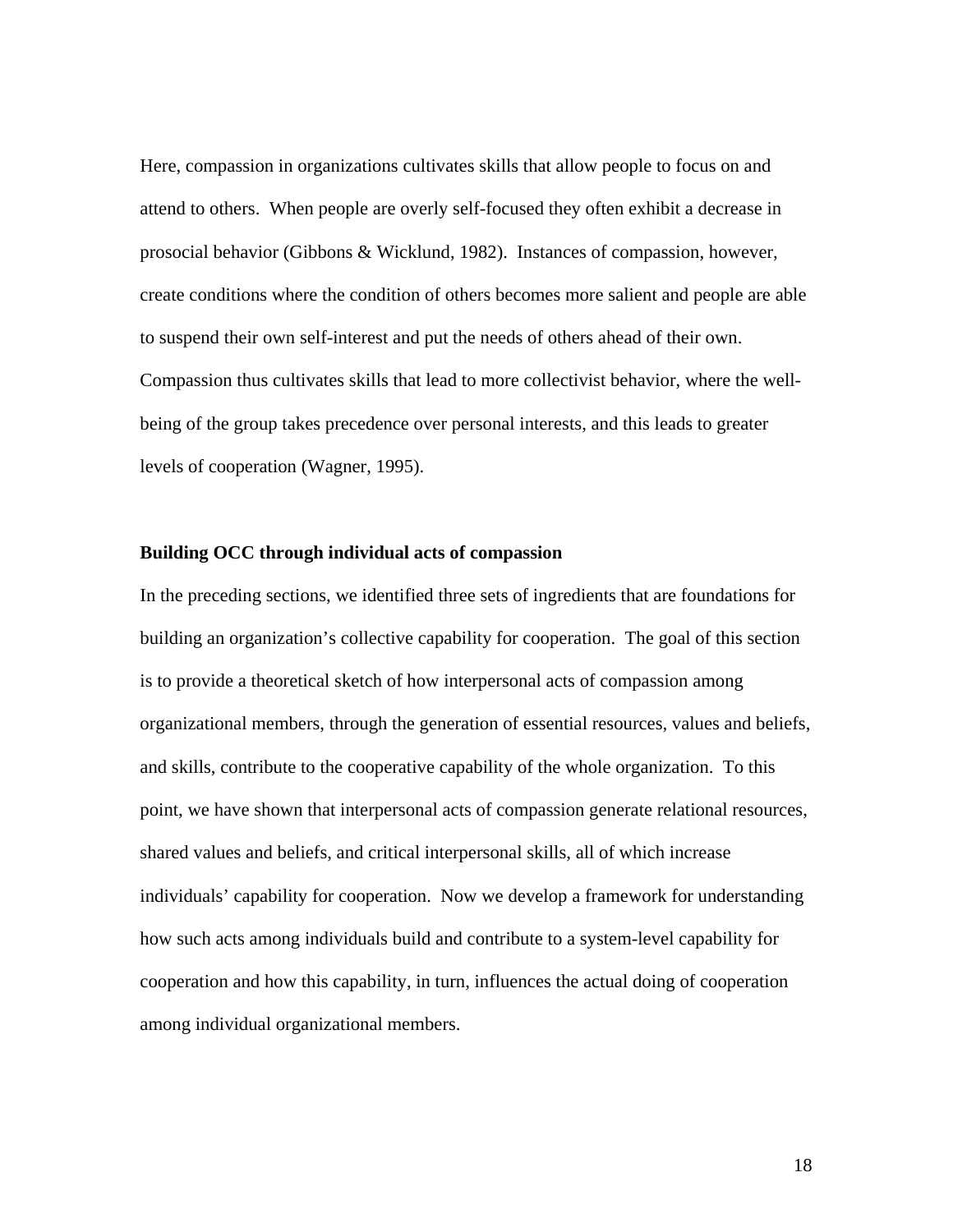Here, compassion in organizations cultivates skills that allow people to focus on and attend to others. When people are overly self-focused they often exhibit a decrease in prosocial behavior (Gibbons & Wicklund, 1982). Instances of compassion, however, create conditions where the condition of others becomes more salient and people are able to suspend their own self-interest and put the needs of others ahead of their own. Compassion thus cultivates skills that lead to more collectivist behavior, where the wellbeing of the group takes precedence over personal interests, and this leads to greater levels of cooperation (Wagner, 1995).

#### **Building OCC through individual acts of compassion**

In the preceding sections, we identified three sets of ingredients that are foundations for building an organization's collective capability for cooperation. The goal of this section is to provide a theoretical sketch of how interpersonal acts of compassion among organizational members, through the generation of essential resources, values and beliefs, and skills, contribute to the cooperative capability of the whole organization. To this point, we have shown that interpersonal acts of compassion generate relational resources, shared values and beliefs, and critical interpersonal skills, all of which increase individuals' capability for cooperation. Now we develop a framework for understanding how such acts among individuals build and contribute to a system-level capability for cooperation and how this capability, in turn, influences the actual doing of cooperation among individual organizational members.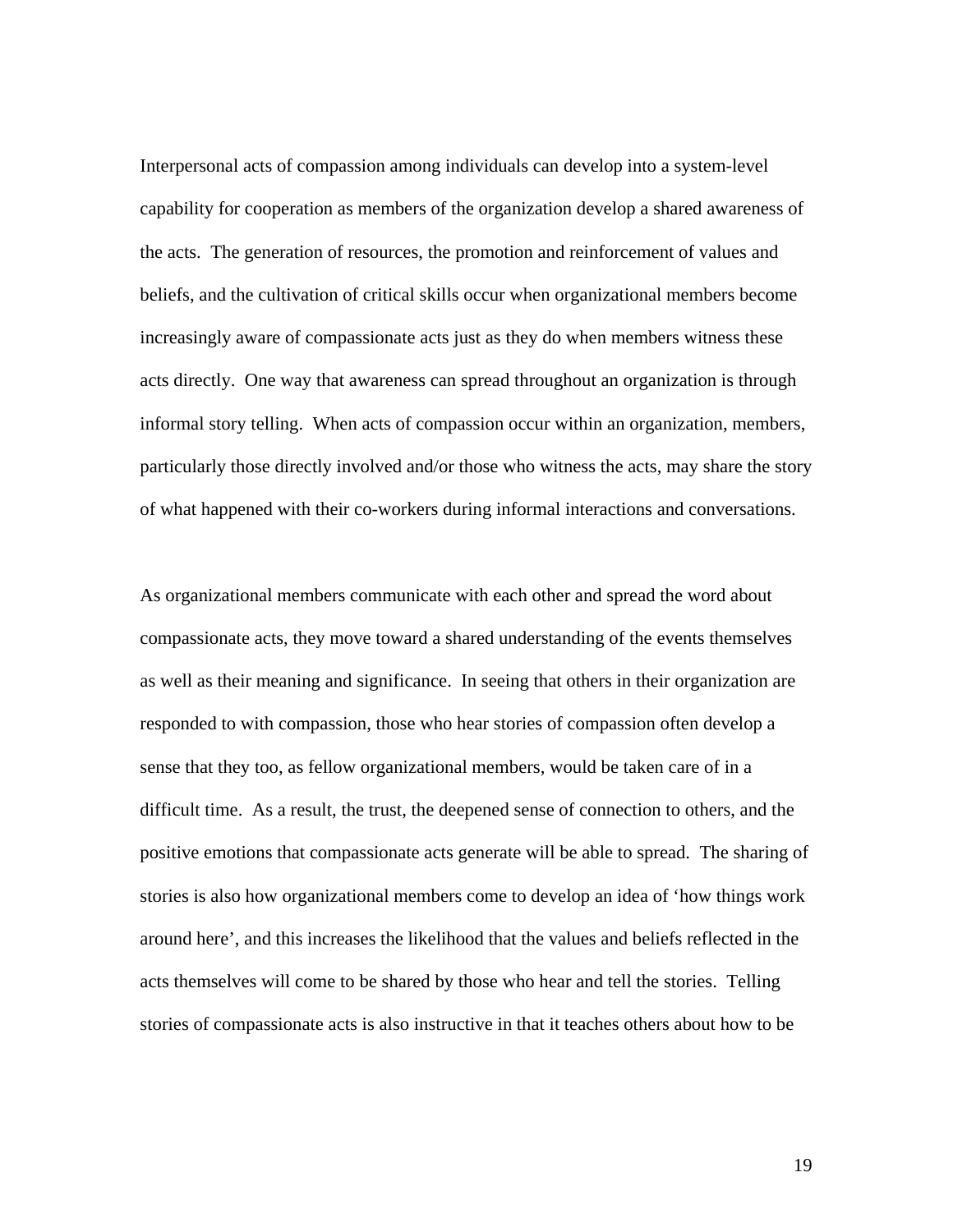Interpersonal acts of compassion among individuals can develop into a system-level capability for cooperation as members of the organization develop a shared awareness of the acts. The generation of resources, the promotion and reinforcement of values and beliefs, and the cultivation of critical skills occur when organizational members become increasingly aware of compassionate acts just as they do when members witness these acts directly. One way that awareness can spread throughout an organization is through informal story telling. When acts of compassion occur within an organization, members, particularly those directly involved and/or those who witness the acts, may share the story of what happened with their co-workers during informal interactions and conversations.

As organizational members communicate with each other and spread the word about compassionate acts, they move toward a shared understanding of the events themselves as well as their meaning and significance. In seeing that others in their organization are responded to with compassion, those who hear stories of compassion often develop a sense that they too, as fellow organizational members, would be taken care of in a difficult time. As a result, the trust, the deepened sense of connection to others, and the positive emotions that compassionate acts generate will be able to spread. The sharing of stories is also how organizational members come to develop an idea of 'how things work around here', and this increases the likelihood that the values and beliefs reflected in the acts themselves will come to be shared by those who hear and tell the stories. Telling stories of compassionate acts is also instructive in that it teaches others about how to be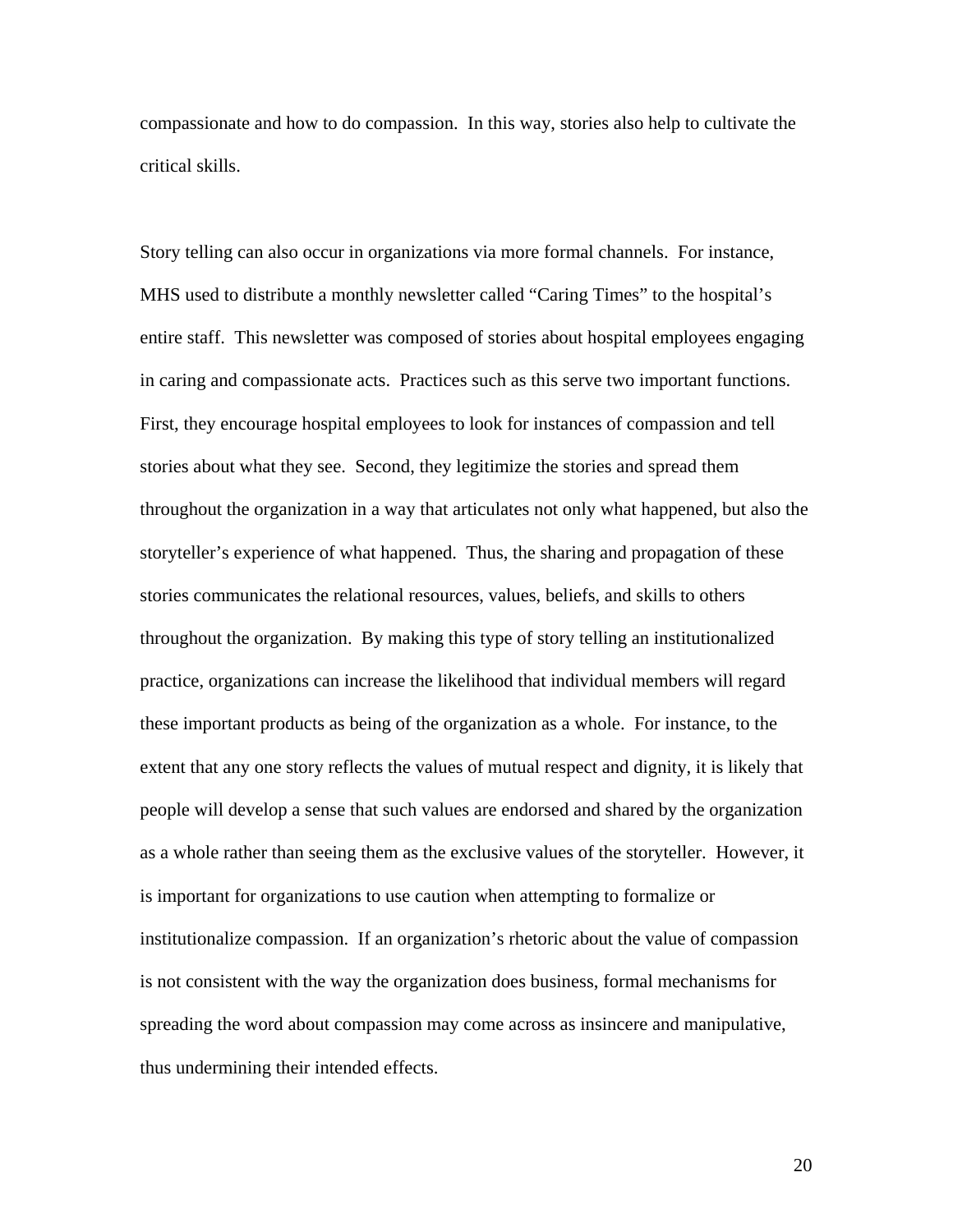compassionate and how to do compassion. In this way, stories also help to cultivate the critical skills.

Story telling can also occur in organizations via more formal channels. For instance, MHS used to distribute a monthly newsletter called "Caring Times" to the hospital's entire staff. This newsletter was composed of stories about hospital employees engaging in caring and compassionate acts. Practices such as this serve two important functions. First, they encourage hospital employees to look for instances of compassion and tell stories about what they see. Second, they legitimize the stories and spread them throughout the organization in a way that articulates not only what happened, but also the storyteller's experience of what happened. Thus, the sharing and propagation of these stories communicates the relational resources, values, beliefs, and skills to others throughout the organization. By making this type of story telling an institutionalized practice, organizations can increase the likelihood that individual members will regard these important products as being of the organization as a whole. For instance, to the extent that any one story reflects the values of mutual respect and dignity, it is likely that people will develop a sense that such values are endorsed and shared by the organization as a whole rather than seeing them as the exclusive values of the storyteller. However, it is important for organizations to use caution when attempting to formalize or institutionalize compassion. If an organization's rhetoric about the value of compassion is not consistent with the way the organization does business, formal mechanisms for spreading the word about compassion may come across as insincere and manipulative, thus undermining their intended effects.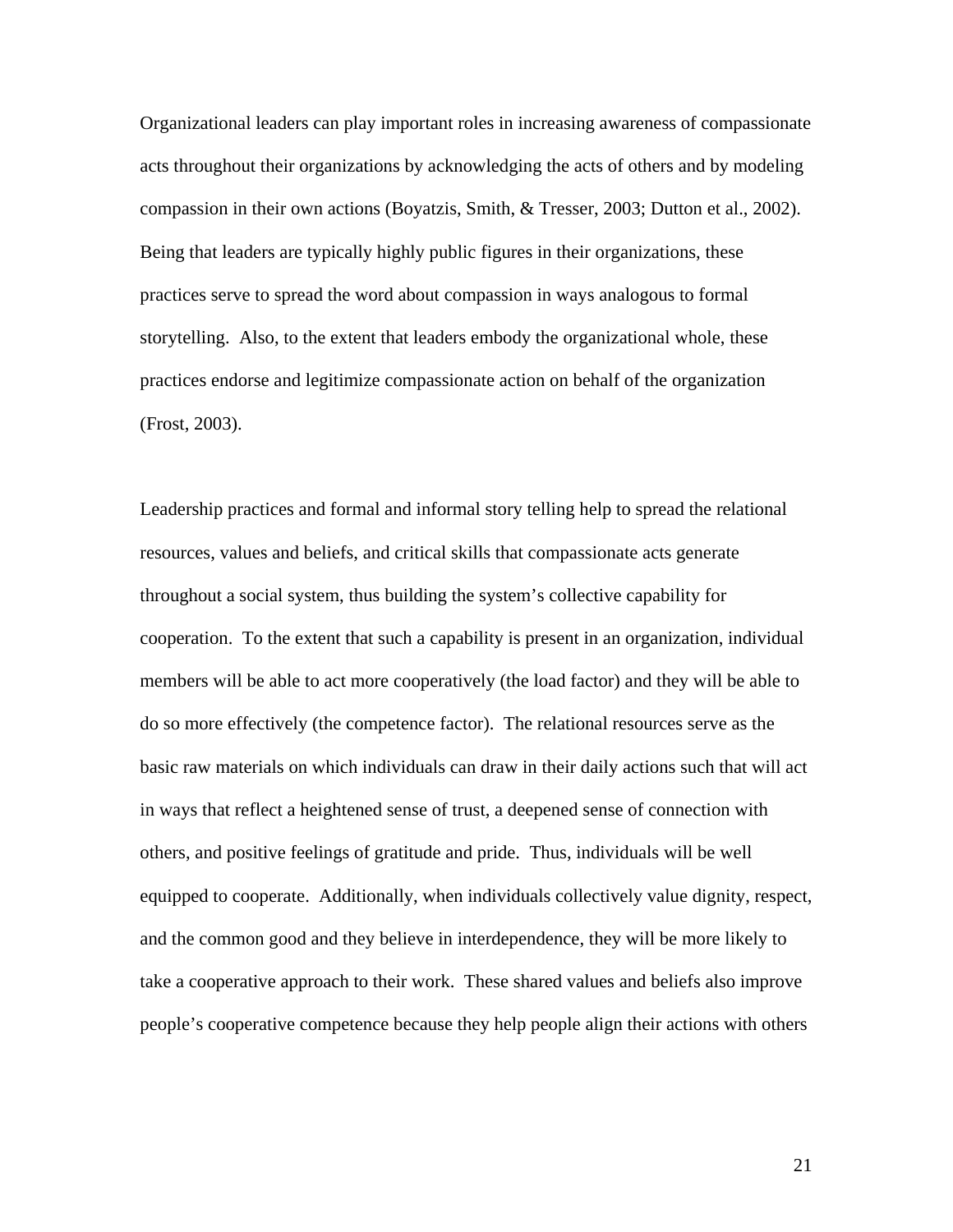Organizational leaders can play important roles in increasing awareness of compassionate acts throughout their organizations by acknowledging the acts of others and by modeling compassion in their own actions (Boyatzis, Smith, & Tresser, 2003; Dutton et al., 2002). Being that leaders are typically highly public figures in their organizations, these practices serve to spread the word about compassion in ways analogous to formal storytelling. Also, to the extent that leaders embody the organizational whole, these practices endorse and legitimize compassionate action on behalf of the organization (Frost, 2003).

Leadership practices and formal and informal story telling help to spread the relational resources, values and beliefs, and critical skills that compassionate acts generate throughout a social system, thus building the system's collective capability for cooperation. To the extent that such a capability is present in an organization, individual members will be able to act more cooperatively (the load factor) and they will be able to do so more effectively (the competence factor). The relational resources serve as the basic raw materials on which individuals can draw in their daily actions such that will act in ways that reflect a heightened sense of trust, a deepened sense of connection with others, and positive feelings of gratitude and pride. Thus, individuals will be well equipped to cooperate. Additionally, when individuals collectively value dignity, respect, and the common good and they believe in interdependence, they will be more likely to take a cooperative approach to their work. These shared values and beliefs also improve people's cooperative competence because they help people align their actions with others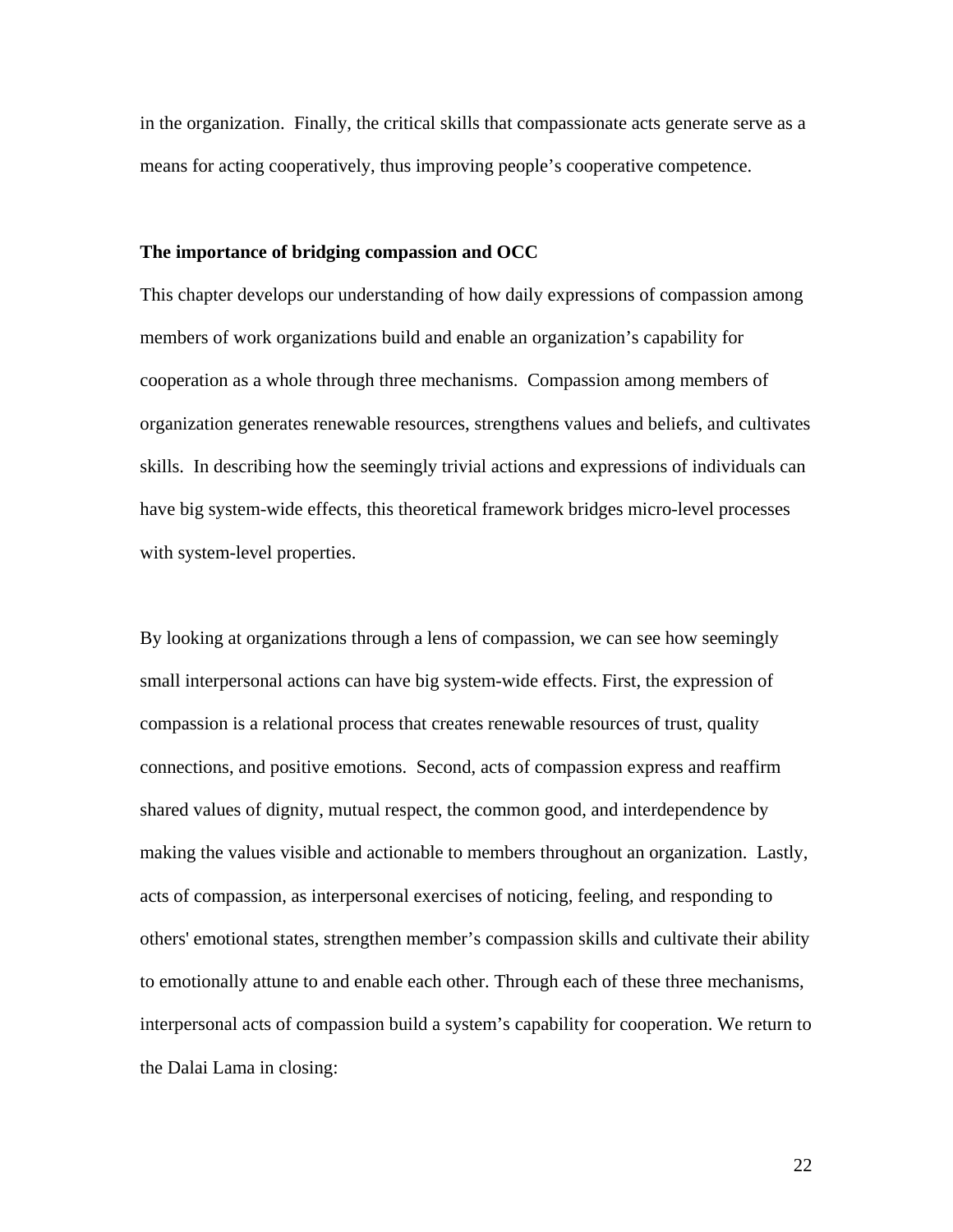in the organization. Finally, the critical skills that compassionate acts generate serve as a means for acting cooperatively, thus improving people's cooperative competence.

## **The importance of bridging compassion and OCC**

This chapter develops our understanding of how daily expressions of compassion among members of work organizations build and enable an organization's capability for cooperation as a whole through three mechanisms. Compassion among members of organization generates renewable resources, strengthens values and beliefs, and cultivates skills. In describing how the seemingly trivial actions and expressions of individuals can have big system-wide effects, this theoretical framework bridges micro-level processes with system-level properties.

By looking at organizations through a lens of compassion, we can see how seemingly small interpersonal actions can have big system-wide effects. First, the expression of compassion is a relational process that creates renewable resources of trust, quality connections, and positive emotions. Second, acts of compassion express and reaffirm shared values of dignity, mutual respect, the common good, and interdependence by making the values visible and actionable to members throughout an organization. Lastly, acts of compassion, as interpersonal exercises of noticing, feeling, and responding to others' emotional states, strengthen member's compassion skills and cultivate their ability to emotionally attune to and enable each other. Through each of these three mechanisms, interpersonal acts of compassion build a system's capability for cooperation. We return to the Dalai Lama in closing: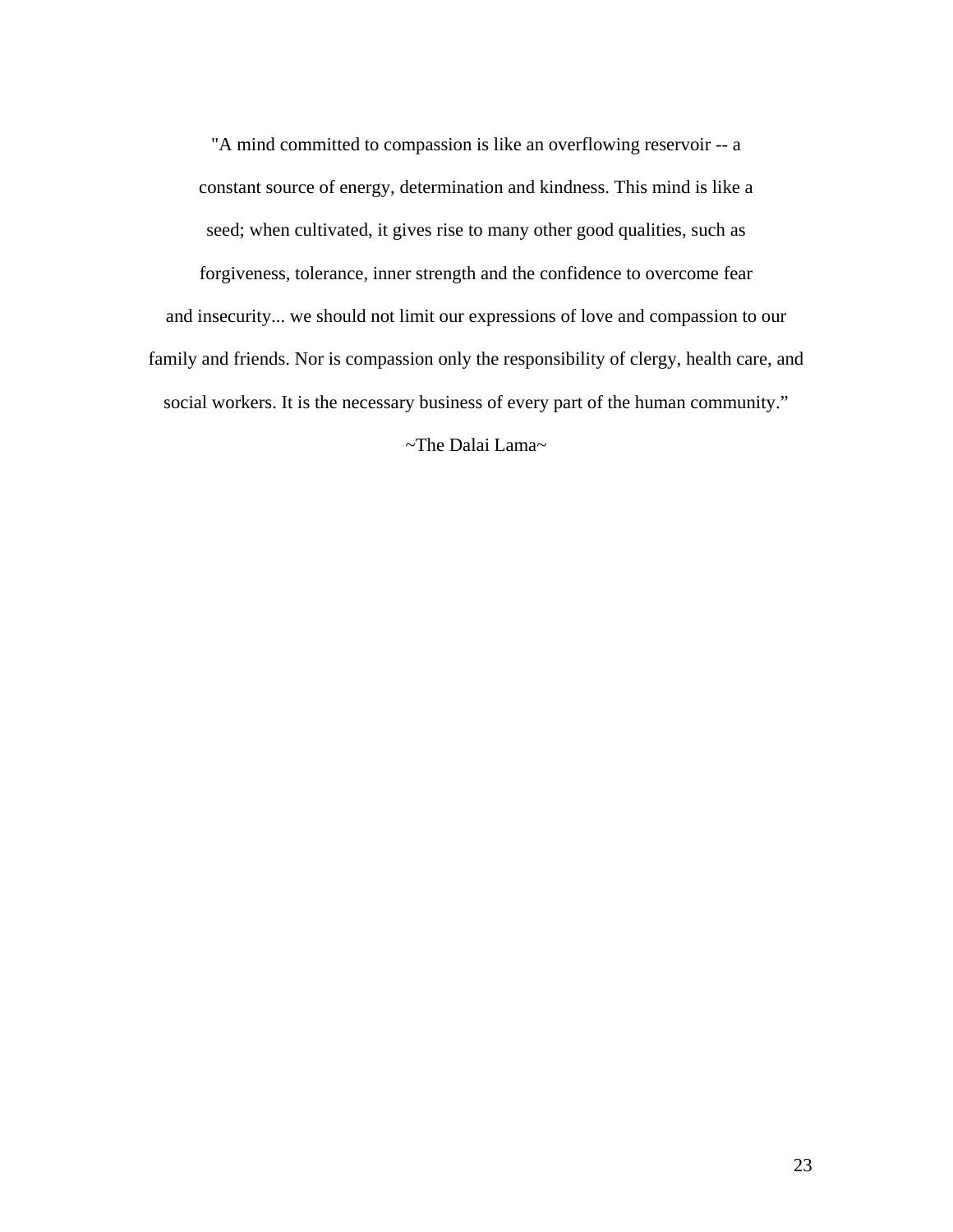"A mind committed to compassion is like an overflowing reservoir -- a constant source of energy, determination and kindness. This mind is like a seed; when cultivated, it gives rise to many other good qualities, such as forgiveness, tolerance, inner strength and the confidence to overcome fear and insecurity... we should not limit our expressions of love and compassion to our family and friends. Nor is compassion only the responsibility of clergy, health care, and social workers. It is the necessary business of every part of the human community."

~The Dalai Lama~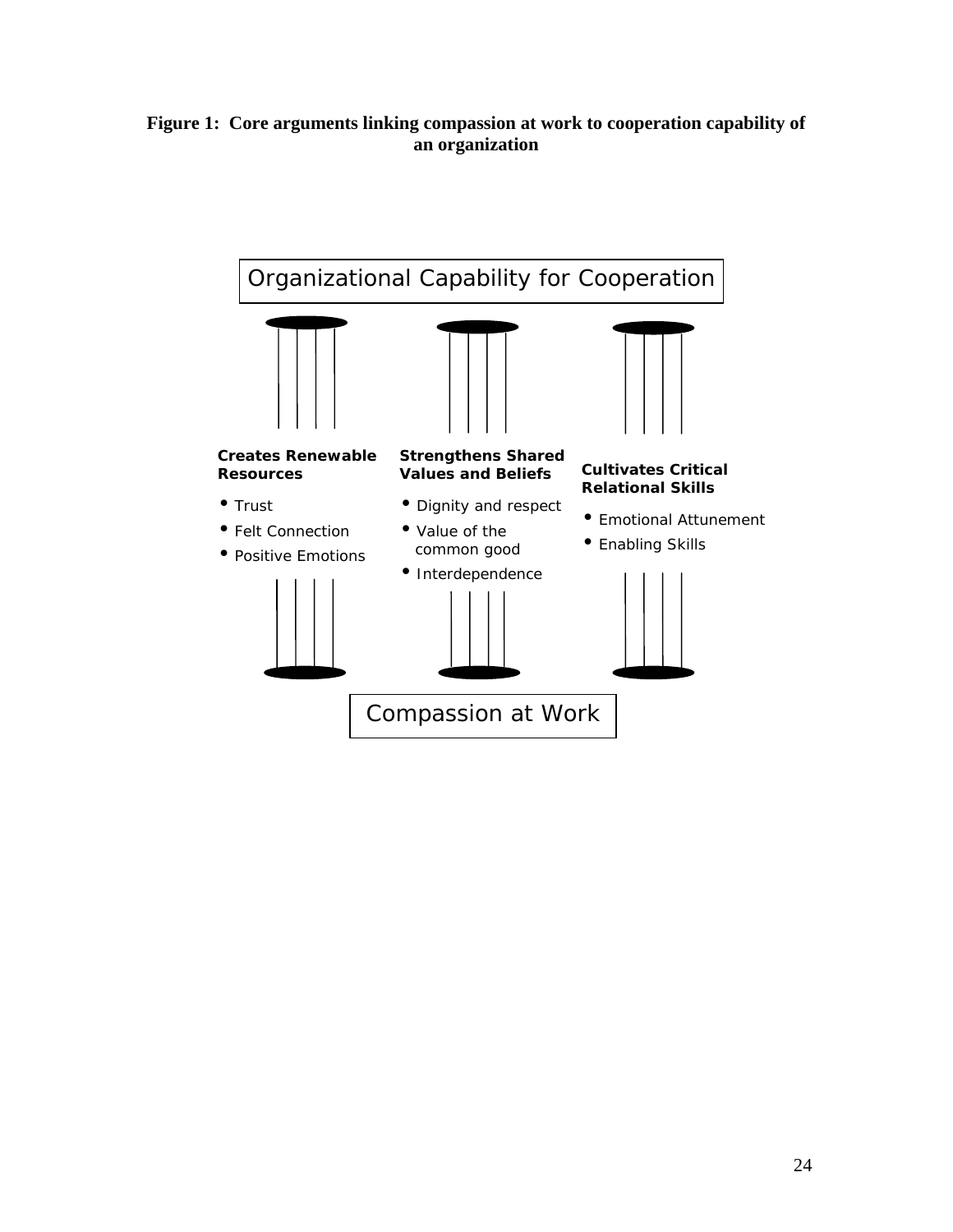# **Figure 1: Core arguments linking compassion at work to cooperation capability of an organization**

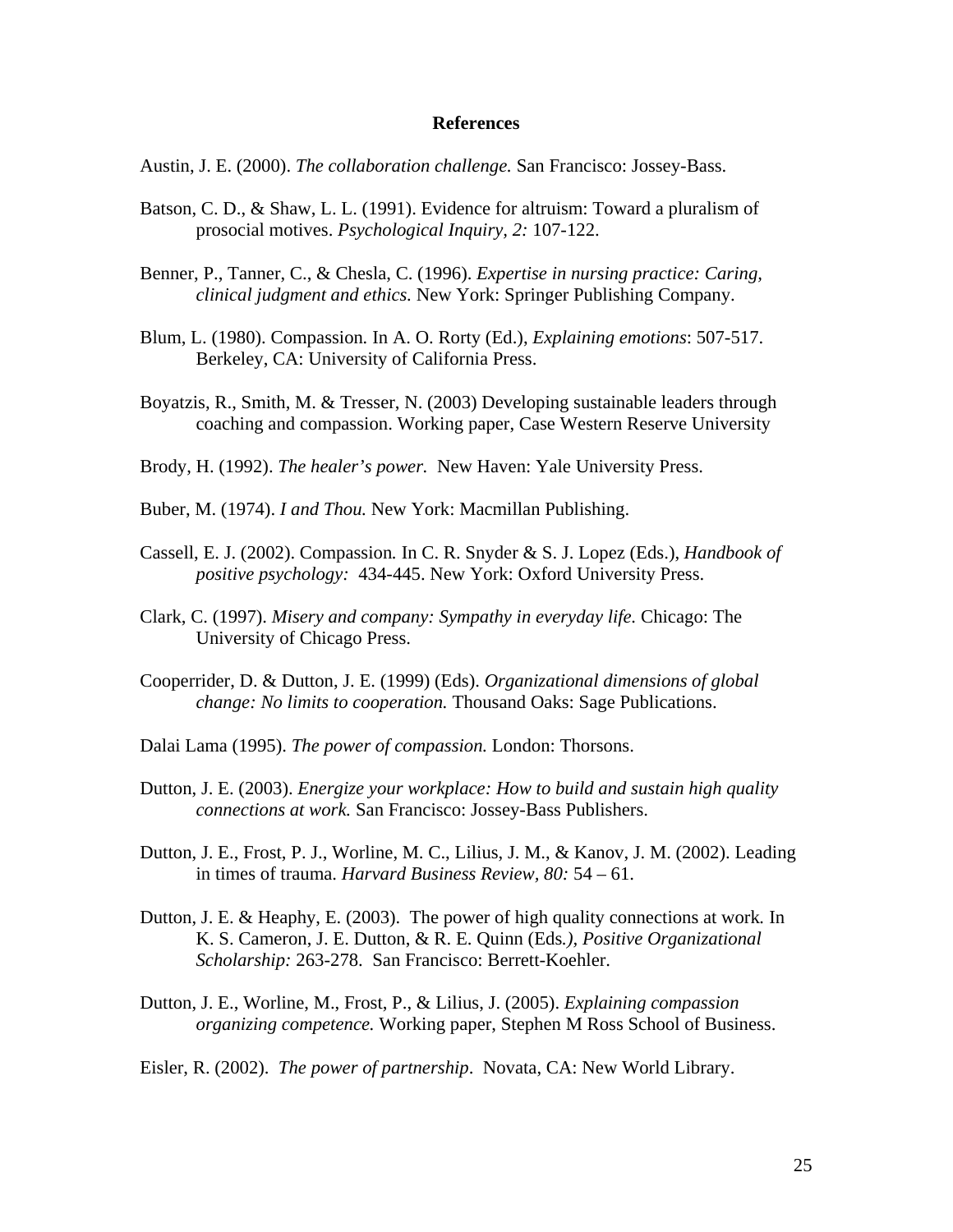# **References**

Austin, J. E. (2000). *The collaboration challenge.* San Francisco: Jossey-Bass.

- Batson, C. D., & Shaw, L. L. (1991). Evidence for altruism: Toward a pluralism of prosocial motives. *Psychological Inquiry, 2:* 107-122.
- Benner, P., Tanner, C., & Chesla, C. (1996). *Expertise in nursing practice: Caring, clinical judgment and ethics.* New York: Springer Publishing Company.
- Blum, L. (1980). Compassion*.* In A. O. Rorty (Ed.), *Explaining emotions*: 507-517. Berkeley, CA: University of California Press.
- Boyatzis, R., Smith, M. & Tresser, N. (2003) Developing sustainable leaders through coaching and compassion. Working paper, Case Western Reserve University
- Brody, H. (1992). *The healer's power.* New Haven: Yale University Press.
- Buber, M. (1974). *I and Thou.* New York: Macmillan Publishing.
- Cassell, E. J. (2002). Compassion*.* In C. R. Snyder & S. J. Lopez (Eds.), *Handbook of positive psychology:* 434-445. New York: Oxford University Press.
- Clark, C. (1997). *Misery and company: Sympathy in everyday life.* Chicago: The University of Chicago Press.
- Cooperrider, D. & Dutton, J. E. (1999) (Eds). *Organizational dimensions of global change: No limits to cooperation.* Thousand Oaks: Sage Publications.
- Dalai Lama (1995). *The power of compassion.* London: Thorsons.
- Dutton, J. E. (2003). *Energize your workplace: How to build and sustain high quality connections at work.* San Francisco: Jossey-Bass Publishers.
- Dutton, J. E., Frost, P. J., Worline, M. C., Lilius, J. M., & Kanov, J. M. (2002). Leading in times of trauma. *Harvard Business Review, 80:* 54 – 61.
- Dutton, J. E. & Heaphy, E. (2003). The power of high quality connections at work*.* In K. S. Cameron, J. E. Dutton, & R. E. Quinn (Eds*.), Positive Organizational Scholarship:* 263-278. San Francisco: Berrett-Koehler.
- Dutton, J. E., Worline, M., Frost, P., & Lilius, J. (2005). *Explaining compassion organizing competence.* Working paper, Stephen M Ross School of Business.

Eisler, R. (2002). *The power of partnership*. Novata, CA: New World Library.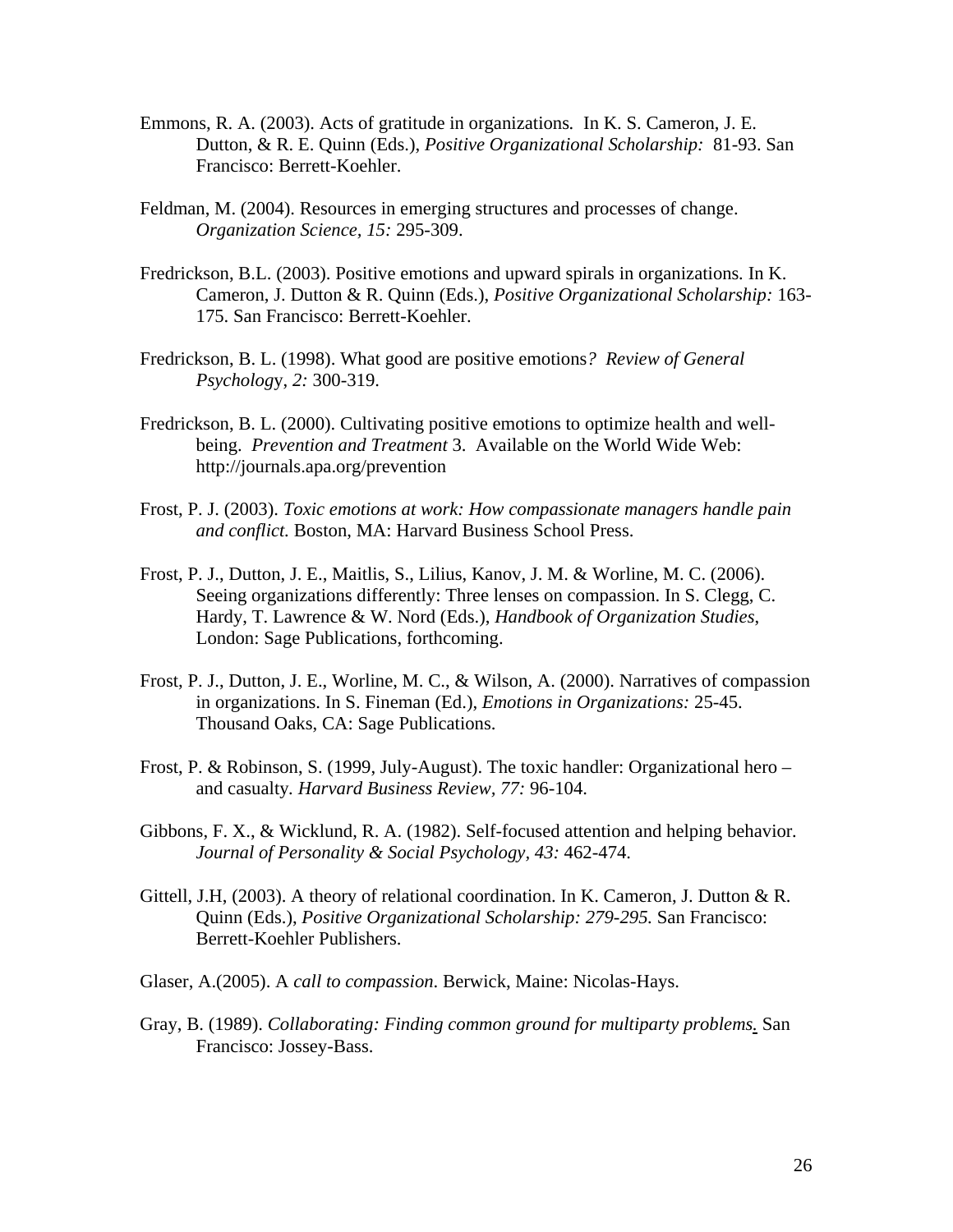- Emmons, R. A. (2003). Acts of gratitude in organizations*.* In K. S. Cameron, J. E. Dutton, & R. E. Quinn (Eds.), *Positive Organizational Scholarship:* 81-93. San Francisco: Berrett-Koehler.
- Feldman, M. (2004). Resources in emerging structures and processes of change. *Organization Science, 15:* 295-309.
- Fredrickson, B.L. (2003). Positive emotions and upward spirals in organizations*.* In K. Cameron, J. Dutton & R. Quinn (Eds.), *Positive Organizational Scholarship:* 163- 175. San Francisco: Berrett-Koehler.
- Fredrickson, B. L. (1998). What good are positive emotions*? Review of General Psycholog*y, *2:* 300-319.
- Fredrickson, B. L. (2000). Cultivating positive emotions to optimize health and wellbeing. *Prevention and Treatment* 3. Available on the World Wide Web: http://journals.apa.org/prevention
- Frost, P. J. (2003). *Toxic emotions at work: How compassionate managers handle pain and conflict.* Boston, MA: Harvard Business School Press.
- Frost, P. J., Dutton, J. E., Maitlis, S., Lilius, Kanov, J. M. & Worline, M. C. (2006). Seeing organizations differently: Three lenses on compassion. In S. Clegg, C. Hardy, T. Lawrence & W. Nord (Eds.), *Handbook of Organization Studies*, London: Sage Publications, forthcoming.
- Frost, P. J., Dutton, J. E., Worline, M. C., & Wilson, A. (2000). Narratives of compassion in organizations. In S. Fineman (Ed.), *Emotions in Organizations:* 25-45. Thousand Oaks, CA: Sage Publications.
- Frost, P. & Robinson, S. (1999, July-August). The toxic handler: Organizational hero and casualty*. Harvard Business Review, 77:* 96-104.
- Gibbons, F. X., & Wicklund, R. A. (1982). Self-focused attention and helping behavior*. Journal of Personality & Social Psychology, 43:* 462-474.
- Gittell, J.H, (2003). A theory of relational coordination. In K. Cameron, J. Dutton & R. Quinn (Eds.), *Positive Organizational Scholarship: 279-295.* San Francisco: Berrett-Koehler Publishers.
- Glaser, A.(2005). A *call to compassion*. Berwick, Maine: Nicolas-Hays.
- Gray, B. (1989). *Collaborating: Finding common ground for multiparty problems.* San Francisco: Jossey-Bass.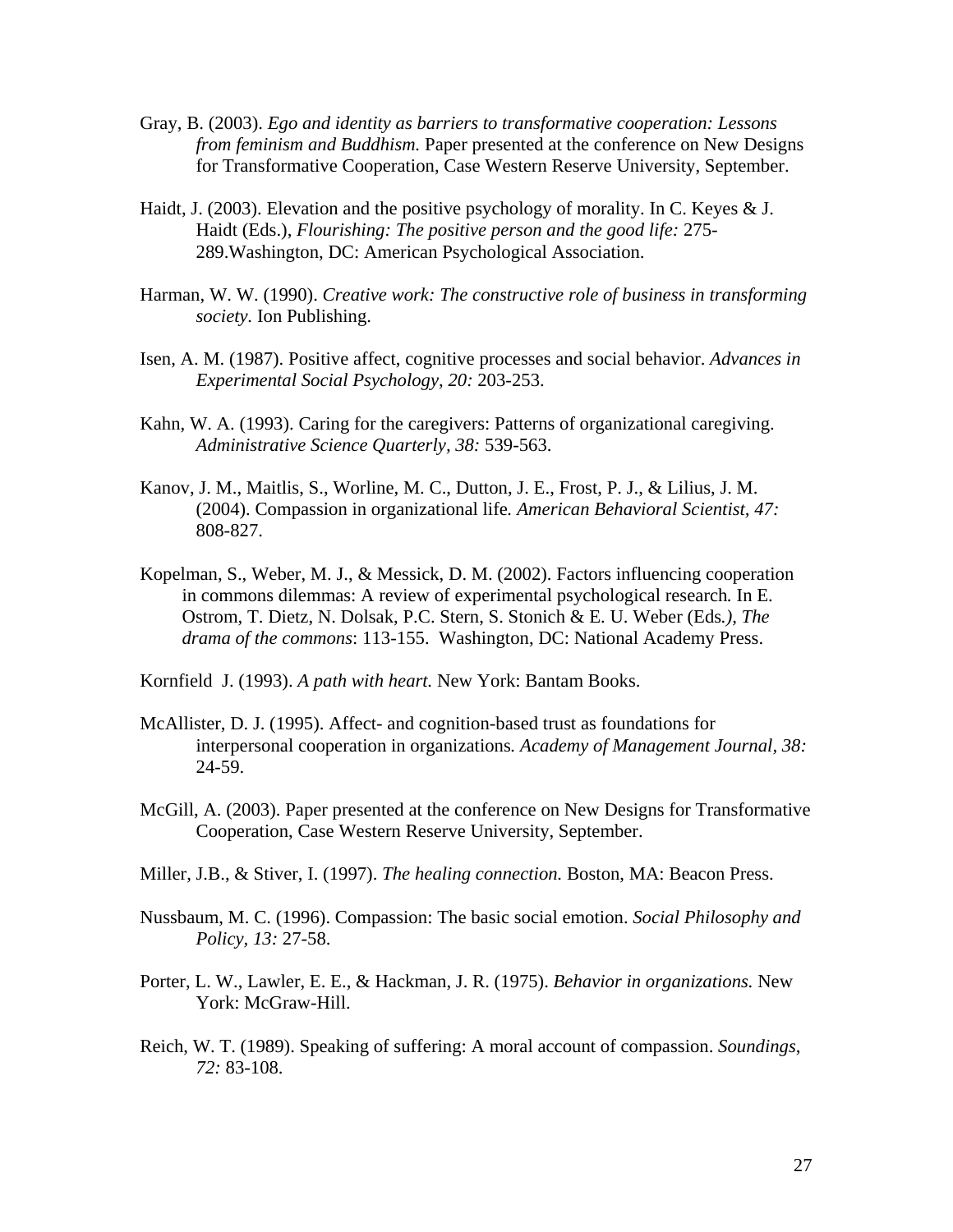- Gray, B. (2003). *Ego and identity as barriers to transformative cooperation: Lessons from feminism and Buddhism.* Paper presented at the conference on New Designs for Transformative Cooperation, Case Western Reserve University, September.
- Haidt, J. (2003). Elevation and the positive psychology of morality. In C. Keyes & J. Haidt (Eds.), *Flourishing: The positive person and the good life:* 275- 289.Washington, DC: American Psychological Association.
- Harman, W. W. (1990). *Creative work: The constructive role of business in transforming society.* Ion Publishing.
- Isen, A. M. (1987). Positive affect, cognitive processes and social behavior. *Advances in Experimental Social Psychology, 20:* 203-253.
- Kahn, W. A. (1993). Caring for the caregivers: Patterns of organizational caregiving. *Administrative Science Quarterly, 38:* 539-563.
- Kanov, J. M., Maitlis, S., Worline, M. C., Dutton, J. E., Frost, P. J., & Lilius, J. M. (2004). Compassion in organizational life*. American Behavioral Scientist, 47:* 808-827.
- Kopelman, S., Weber, M. J., & Messick, D. M. (2002). Factors influencing cooperation in commons dilemmas: A review of experimental psychological research*.* In E. Ostrom, T. Dietz, N. Dolsak, P.C. Stern, S. Stonich & E. U. Weber (Eds*.), The drama of the commons*: 113-155. Washington, DC: National Academy Press.

Kornfield J. (1993). *A path with heart.* New York: Bantam Books.

- McAllister, D. J. (1995). Affect- and cognition-based trust as foundations for interpersonal cooperation in organizations*. Academy of Management Journal, 38:* 24-59.
- McGill, A. (2003). Paper presented at the conference on New Designs for Transformative Cooperation, Case Western Reserve University, September.
- Miller, J.B., & Stiver, I. (1997). *The healing connection.* Boston, MA: Beacon Press.
- Nussbaum, M. C. (1996). Compassion: The basic social emotion. *Social Philosophy and Policy, 13:* 27-58.
- Porter, L. W., Lawler, E. E., & Hackman, J. R. (1975). *Behavior in organizations.* New York: McGraw-Hill.
- Reich, W. T. (1989). Speaking of suffering: A moral account of compassion. *Soundings*, *72:* 83-108.